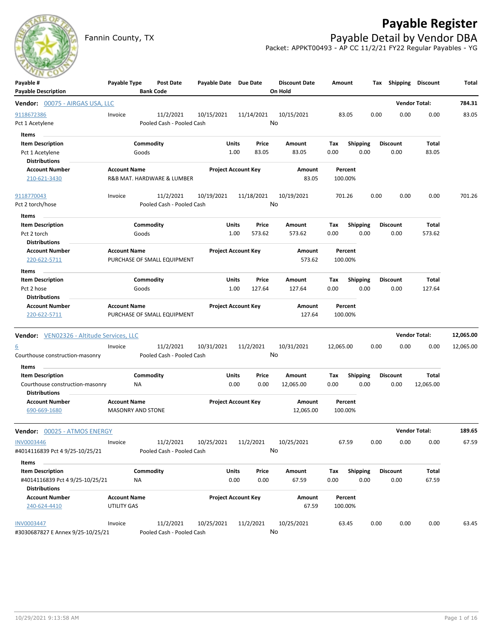

## **Payable Register**

Fannin County, TX **Payable Detail by Vendor DBA** Packet: APPKT00493 - AP CC 11/2/21 FY22 Regular Payables - YG

| Payable #<br><b>Payable Description</b>   | Payable Type                                    | Post Date<br><b>Bank Code</b> | Payable Date Due Date |                            | <b>Discount Date</b><br>On Hold | Amount             | Tax             | Shipping        | <b>Discount</b>      | Total     |
|-------------------------------------------|-------------------------------------------------|-------------------------------|-----------------------|----------------------------|---------------------------------|--------------------|-----------------|-----------------|----------------------|-----------|
| Vendor: 00075 - AIRGAS USA, LLC           |                                                 |                               |                       |                            |                                 |                    |                 |                 | <b>Vendor Total:</b> | 784.31    |
| 9118672386                                | Invoice                                         | 11/2/2021                     | 10/15/2021            | 11/14/2021                 | 10/15/2021                      | 83.05              | 0.00            | 0.00            | 0.00                 | 83.05     |
| Pct 1 Acetylene                           |                                                 | Pooled Cash - Pooled Cash     |                       |                            | No                              |                    |                 |                 |                      |           |
| Items                                     |                                                 |                               |                       |                            |                                 |                    |                 |                 |                      |           |
| <b>Item Description</b>                   |                                                 | Commodity                     | Units                 | Price                      | Amount                          | Tax                | <b>Shipping</b> | <b>Discount</b> | Total                |           |
| Pct 1 Acetylene                           |                                                 | Goods                         |                       | 1.00<br>83.05              | 83.05                           | 0.00               | 0.00            | 0.00            | 83.05                |           |
| <b>Distributions</b>                      |                                                 |                               |                       |                            |                                 |                    |                 |                 |                      |           |
| <b>Account Number</b>                     | <b>Account Name</b>                             |                               |                       | <b>Project Account Key</b> | Amount                          | Percent            |                 |                 |                      |           |
| 210-621-3430                              |                                                 | R&B MAT. HARDWARE & LUMBER    |                       |                            | 83.05                           | 100.00%            |                 |                 |                      |           |
| 9118770043                                | Invoice                                         | 11/2/2021                     | 10/19/2021            | 11/18/2021                 | 10/19/2021                      | 701.26             | 0.00            | 0.00            | 0.00                 | 701.26    |
| Pct 2 torch/hose                          |                                                 | Pooled Cash - Pooled Cash     |                       |                            | No                              |                    |                 |                 |                      |           |
| Items                                     |                                                 |                               |                       |                            |                                 |                    |                 |                 |                      |           |
| <b>Item Description</b>                   |                                                 | Commodity                     | <b>Units</b>          | Price                      | Amount                          | Tax                | <b>Shipping</b> | <b>Discount</b> | Total                |           |
| Pct 2 torch                               |                                                 | Goods                         |                       | 1.00<br>573.62             | 573.62                          | 0.00               | 0.00            | 0.00            | 573.62               |           |
| <b>Distributions</b>                      |                                                 |                               |                       |                            |                                 |                    |                 |                 |                      |           |
| <b>Account Number</b>                     | <b>Account Name</b>                             |                               |                       | <b>Project Account Key</b> | Amount                          | Percent            |                 |                 |                      |           |
| 220-622-5711                              |                                                 | PURCHASE OF SMALL EQUIPMENT   |                       |                            | 573.62                          | 100.00%            |                 |                 |                      |           |
| Items                                     |                                                 |                               |                       |                            |                                 |                    |                 |                 |                      |           |
| <b>Item Description</b>                   |                                                 | Commodity                     | Units                 | Price                      | Amount                          | Tax                | <b>Shipping</b> | <b>Discount</b> | Total                |           |
| Pct 2 hose                                |                                                 | Goods                         |                       | 1.00<br>127.64             | 127.64                          | 0.00               | 0.00            | 0.00            | 127.64               |           |
| <b>Distributions</b>                      |                                                 |                               |                       |                            |                                 |                    |                 |                 |                      |           |
| <b>Account Number</b>                     | <b>Account Name</b>                             |                               |                       | <b>Project Account Key</b> | Amount                          | Percent            |                 |                 |                      |           |
| 220-622-5711                              |                                                 | PURCHASE OF SMALL EQUIPMENT   |                       |                            | 127.64                          | 100.00%            |                 |                 |                      |           |
| Vendor: VEN02326 - Altitude Services, LLC |                                                 |                               |                       |                            |                                 |                    |                 |                 | <b>Vendor Total:</b> | 12,065.00 |
| <u>6</u>                                  | Invoice                                         | 11/2/2021                     | 10/31/2021            | 11/2/2021                  | 10/31/2021                      | 12,065.00          | 0.00            | 0.00            | 0.00                 | 12,065.00 |
| Courthouse construction-masonry           |                                                 | Pooled Cash - Pooled Cash     |                       |                            | No                              |                    |                 |                 |                      |           |
| <b>Items</b>                              |                                                 |                               |                       |                            |                                 |                    |                 |                 |                      |           |
| <b>Item Description</b>                   |                                                 | Commodity                     | Units                 | Price                      | Amount                          | Tax                | <b>Shipping</b> | <b>Discount</b> | Total                |           |
| Courthouse construction-masonry           | <b>NA</b>                                       |                               | 0.00                  | 0.00                       | 12,065.00                       | 0.00               | 0.00            | 0.00            | 12,065.00            |           |
| <b>Distributions</b>                      |                                                 |                               |                       |                            |                                 |                    |                 |                 |                      |           |
| <b>Account Number</b><br>690-669-1680     | <b>Account Name</b><br><b>MASONRY AND STONE</b> |                               |                       | <b>Project Account Key</b> | Amount<br>12,065.00             | Percent<br>100.00% |                 |                 |                      |           |
| Vendor: 00025 - ATMOS ENERGY              |                                                 |                               |                       |                            |                                 |                    |                 |                 | <b>Vendor Total:</b> | 189.65    |
| INV0003446                                | Invoice                                         | 11/2/2021                     | 10/25/2021            | 11/2/2021                  | 10/25/2021                      | 67.59              | 0.00            | 0.00            | 0.00                 | 67.59     |
| #4014116839 Pct 4 9/25-10/25/21           |                                                 | Pooled Cash - Pooled Cash     |                       |                            | No                              |                    |                 |                 |                      |           |
| Items                                     |                                                 |                               |                       |                            |                                 |                    |                 |                 |                      |           |
| <b>Item Description</b>                   |                                                 | Commodity                     | <b>Units</b>          | Price                      | Amount                          | Tax                | <b>Shipping</b> | <b>Discount</b> | Total                |           |
| #4014116839 Pct 4 9/25-10/25/21           | NA                                              |                               |                       | 0.00<br>0.00               | 67.59                           | 0.00               | 0.00            | 0.00            | 67.59                |           |
| <b>Distributions</b>                      |                                                 |                               |                       |                            |                                 |                    |                 |                 |                      |           |
| <b>Account Number</b>                     | <b>Account Name</b>                             |                               |                       | <b>Project Account Key</b> | Amount                          | Percent            |                 |                 |                      |           |
| 240-624-4410                              | UTILITY GAS                                     |                               |                       |                            | 67.59                           | 100.00%            |                 |                 |                      |           |
| INV0003447                                | Invoice                                         | 11/2/2021                     | 10/25/2021            | 11/2/2021                  | 10/25/2021                      | 63.45              | 0.00            | 0.00            | 0.00                 | 63.45     |
| #3030687827 E Annex 9/25-10/25/21         |                                                 | Pooled Cash - Pooled Cash     |                       |                            | No                              |                    |                 |                 |                      |           |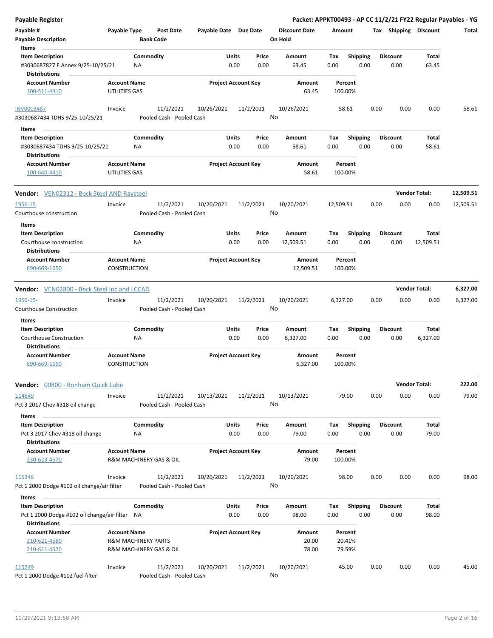| <b>Payable Register</b>                                      |                                |                                        |                       |                            |                                 |             |                         |      |                         |                       | Packet: APPKT00493 - AP CC 11/2/21 FY22 Regular Payables - YG |
|--------------------------------------------------------------|--------------------------------|----------------------------------------|-----------------------|----------------------------|---------------------------------|-------------|-------------------------|------|-------------------------|-----------------------|---------------------------------------------------------------|
| Payable #<br><b>Payable Description</b>                      | Payable Type                   | <b>Post Date</b><br><b>Bank Code</b>   | Payable Date Due Date |                            | <b>Discount Date</b><br>On Hold | Amount      |                         |      |                         | Tax Shipping Discount | <b>Total</b>                                                  |
| Items                                                        |                                |                                        |                       |                            |                                 |             |                         |      |                         |                       |                                                               |
| <b>Item Description</b><br>#3030687827 E Annex 9/25-10/25/21 | NA                             | Commodity                              | Units                 | Price<br>0.00<br>0.00      | Amount<br>63.45                 | Tax<br>0.00 | <b>Shipping</b><br>0.00 |      | <b>Discount</b><br>0.00 | Total<br>63.45        |                                                               |
| <b>Distributions</b>                                         |                                |                                        |                       |                            |                                 |             |                         |      |                         |                       |                                                               |
| <b>Account Number</b>                                        | <b>Account Name</b>            |                                        |                       | <b>Project Account Key</b> | Amount                          |             | Percent                 |      |                         |                       |                                                               |
| 100-511-4410                                                 | UTILITIES GAS                  |                                        |                       |                            | 63.45                           | 100.00%     |                         |      |                         |                       |                                                               |
| <b>INV0003487</b>                                            | Invoice                        | 11/2/2021                              | 10/26/2021            | 11/2/2021                  | 10/26/2021                      |             | 58.61                   | 0.00 | 0.00                    | 0.00                  | 58.61                                                         |
| #3030687434 TDHS 9/25-10/25/21                               |                                | Pooled Cash - Pooled Cash              |                       |                            | No                              |             |                         |      |                         |                       |                                                               |
| Items                                                        |                                |                                        |                       |                            |                                 |             |                         |      |                         |                       |                                                               |
| <b>Item Description</b>                                      |                                | Commodity                              | Units                 | Price                      | Amount                          | Tax         | <b>Shipping</b>         |      | <b>Discount</b>         | Total                 |                                                               |
| #3030687434 TDHS 9/25-10/25/21<br><b>Distributions</b>       | <b>NA</b>                      |                                        |                       | 0.00<br>0.00               | 58.61                           | 0.00        | 0.00                    |      | 0.00                    | 58.61                 |                                                               |
| Account Number                                               | <b>Account Name</b>            |                                        |                       | <b>Project Account Key</b> | Amount                          |             | Percent                 |      |                         |                       |                                                               |
| 100-640-4410                                                 | UTILITIES GAS                  |                                        |                       |                            | 58.61                           | 100.00%     |                         |      |                         |                       |                                                               |
| <b>Vendor:</b> VEN02312 - Beck Steel AND Raysteel            |                                |                                        |                       |                            |                                 |             |                         |      |                         | <b>Vendor Total:</b>  | 12,509.51                                                     |
| 1956-15                                                      | Invoice                        | 11/2/2021                              | 10/20/2021            | 11/2/2021                  | 10/20/2021                      | 12,509.51   |                         | 0.00 | 0.00                    | 0.00                  | 12,509.51                                                     |
| Courthouse construction                                      |                                | Pooled Cash - Pooled Cash              |                       |                            | No                              |             |                         |      |                         |                       |                                                               |
| Items                                                        |                                |                                        |                       |                            |                                 |             |                         |      |                         |                       |                                                               |
| <b>Item Description</b>                                      |                                | Commodity                              | Units                 | Price                      | Amount                          | Tax         | <b>Shipping</b>         |      | <b>Discount</b>         | Total                 |                                                               |
| Courthouse construction                                      | ΝA                             |                                        |                       | 0.00<br>0.00               | 12,509.51                       | 0.00        | 0.00                    |      | 0.00                    | 12,509.51             |                                                               |
| <b>Distributions</b>                                         |                                |                                        |                       |                            |                                 |             |                         |      |                         |                       |                                                               |
| <b>Account Number</b>                                        | <b>Account Name</b>            |                                        |                       | <b>Project Account Key</b> | Amount                          |             | Percent                 |      |                         |                       |                                                               |
| 690-669-1650                                                 | <b>CONSTRUCTION</b>            |                                        |                       |                            | 12,509.51                       | 100.00%     |                         |      |                         |                       |                                                               |
| <b>Vendor:</b> VEN02800 - Beck Steel Inc and LCCAD           |                                |                                        |                       |                            |                                 |             |                         |      |                         | <b>Vendor Total:</b>  | 6,327.00                                                      |
|                                                              |                                |                                        |                       |                            |                                 |             |                         |      |                         |                       |                                                               |
| 1956-15-<br>Courthouse Construction                          | Invoice                        | 11/2/2021<br>Pooled Cash - Pooled Cash | 10/20/2021            | 11/2/2021                  | 10/20/2021<br>No                | 6,327.00    |                         | 0.00 | 0.00                    | 0.00                  | 6,327.00                                                      |
|                                                              |                                |                                        |                       |                            |                                 |             |                         |      |                         |                       |                                                               |
| Items                                                        |                                |                                        |                       |                            |                                 |             |                         |      |                         |                       |                                                               |
| <b>Item Description</b>                                      |                                | Commodity                              | Units                 | Price                      | <b>Amount</b>                   | Tax         | <b>Shipping</b>         |      | <b>Discount</b>         | Total                 |                                                               |
| Courthouse Construction<br><b>Distributions</b>              | <b>NA</b>                      |                                        |                       | 0.00<br>0.00               | 6,327.00                        | 0.00        | 0.00                    |      | 0.00                    | 6,327.00              |                                                               |
| <b>Account Number</b>                                        | <b>Account Name</b>            |                                        |                       | <b>Project Account Key</b> | Amount                          |             | Percent                 |      |                         |                       |                                                               |
| 690-669-1650                                                 | <b>CONSTRUCTION</b>            |                                        |                       |                            | 6,327.00                        | 100.00%     |                         |      |                         |                       |                                                               |
|                                                              |                                |                                        |                       |                            |                                 |             |                         |      |                         |                       |                                                               |
| Vendor: 00800 - Bonham Quick Lube                            |                                |                                        |                       |                            |                                 |             |                         |      |                         | <b>Vendor Total:</b>  | 222.00                                                        |
| 114849                                                       | Invoice                        | 11/2/2021                              | 10/13/2021            | 11/2/2021                  | 10/13/2021                      |             | 79.00                   | 0.00 | 0.00                    | 0.00                  | 79.00                                                         |
| Pct 3 2017 Chev #318 oil change                              |                                | Pooled Cash - Pooled Cash              |                       |                            | No                              |             |                         |      |                         |                       |                                                               |
| Items                                                        |                                |                                        |                       |                            |                                 |             |                         |      |                         |                       |                                                               |
| <b>Item Description</b>                                      |                                | Commodity                              | Units                 | Price                      | Amount                          | Tax         | <b>Shipping</b>         |      | <b>Discount</b>         | Total<br>79.00        |                                                               |
| Pct 3 2017 Chev #318 oil change<br><b>Distributions</b>      | ΝA                             |                                        |                       | 0.00<br>0.00               | 79.00                           | 0.00        | 0.00                    |      | 0.00                    |                       |                                                               |
| <b>Account Number</b>                                        | <b>Account Name</b>            |                                        |                       | <b>Project Account Key</b> | Amount                          |             | Percent                 |      |                         |                       |                                                               |
| 230-623-4570                                                 | R&M MACHINERY GAS & OIL        |                                        |                       |                            | 79.00                           | 100.00%     |                         |      |                         |                       |                                                               |
| 115246                                                       | Invoice                        | 11/2/2021                              | 10/20/2021            | 11/2/2021                  | 10/20/2021                      |             | 98.00                   | 0.00 | 0.00                    | 0.00                  | 98.00                                                         |
| Pct 1 2000 Dodge #102 oil change/air filter                  |                                | Pooled Cash - Pooled Cash              |                       |                            | No                              |             |                         |      |                         |                       |                                                               |
| Items                                                        |                                |                                        |                       |                            |                                 |             |                         |      |                         |                       |                                                               |
| <b>Item Description</b>                                      |                                | Commodity                              | Units                 | Price                      | Amount                          | Tax         | <b>Shipping</b>         |      | <b>Discount</b>         | Total                 |                                                               |
| Pct 1 2000 Dodge #102 oil change/air filter NA               |                                |                                        |                       | 0.00<br>0.00               | 98.00                           | 0.00        | 0.00                    |      | 0.00                    | 98.00                 |                                                               |
| <b>Distributions</b>                                         |                                |                                        |                       |                            |                                 |             |                         |      |                         |                       |                                                               |
| <b>Account Number</b>                                        | <b>Account Name</b>            |                                        |                       | <b>Project Account Key</b> | Amount                          |             | Percent                 |      |                         |                       |                                                               |
| 210-621-4580                                                 | <b>R&amp;M MACHINERY PARTS</b> |                                        |                       |                            | 20.00                           |             | 20.41%                  |      |                         |                       |                                                               |
| 210-621-4570                                                 | R&M MACHINERY GAS & OIL        |                                        |                       |                            | 78.00                           |             | 79.59%                  |      |                         |                       |                                                               |
| 115249                                                       | Invoice                        | 11/2/2021                              | 10/20/2021            | 11/2/2021                  | 10/20/2021                      |             | 45.00                   | 0.00 | 0.00                    | 0.00                  | 45.00                                                         |
| Pct 1 2000 Dodge #102 fuel filter                            |                                | Pooled Cash - Pooled Cash              |                       |                            | No                              |             |                         |      |                         |                       |                                                               |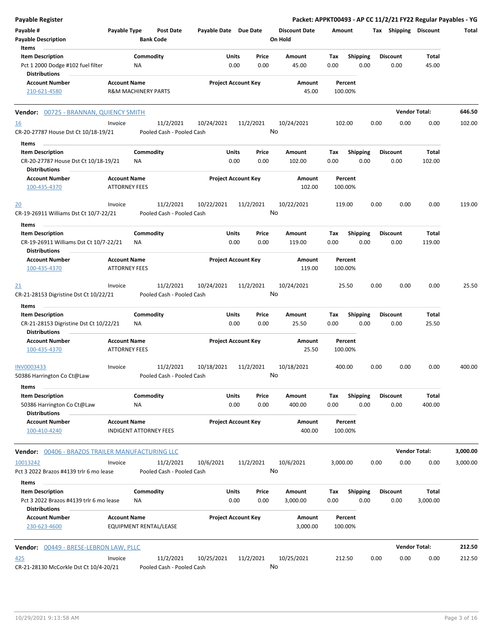| <b>Payable Register</b>                                                                 |                                             |                                        |                       |                            |                                 |                    |                         |      |                         | Packet: APPKT00493 - AP CC 11/2/21 FY22 Regular Payables - YG |          |
|-----------------------------------------------------------------------------------------|---------------------------------------------|----------------------------------------|-----------------------|----------------------------|---------------------------------|--------------------|-------------------------|------|-------------------------|---------------------------------------------------------------|----------|
| Payable #<br><b>Payable Description</b>                                                 | Payable Type                                | <b>Post Date</b><br><b>Bank Code</b>   | Payable Date Due Date |                            | <b>Discount Date</b><br>On Hold | Amount             |                         |      | Tax Shipping Discount   |                                                               | Total    |
| Items                                                                                   |                                             |                                        |                       |                            |                                 |                    |                         |      |                         |                                                               |          |
| <b>Item Description</b><br>Pct 1 2000 Dodge #102 fuel filter<br><b>Distributions</b>    |                                             | Commodity<br>NA                        | Units                 | Price<br>0.00<br>0.00      | Amount<br>45.00                 | Tax<br>0.00        | <b>Shipping</b><br>0.00 |      | <b>Discount</b><br>0.00 | Total<br>45.00                                                |          |
| <b>Account Number</b>                                                                   | <b>Account Name</b>                         |                                        |                       | <b>Project Account Key</b> | Amount                          | Percent            |                         |      |                         |                                                               |          |
| 210-621-4580                                                                            |                                             | <b>R&amp;M MACHINERY PARTS</b>         |                       |                            | 45.00                           | 100.00%            |                         |      |                         |                                                               |          |
| Vendor: 00725 - BRANNAN, QUIENCY SMITH                                                  |                                             |                                        |                       |                            |                                 |                    |                         |      |                         | <b>Vendor Total:</b>                                          | 646.50   |
| <u>16</u><br>CR-20-27787 House Dst Ct 10/18-19/21                                       | Invoice                                     | 11/2/2021<br>Pooled Cash - Pooled Cash | 10/24/2021            | 11/2/2021                  | 10/24/2021<br>No                | 102.00             |                         | 0.00 | 0.00                    | 0.00                                                          | 102.00   |
|                                                                                         |                                             |                                        |                       |                            |                                 |                    |                         |      |                         |                                                               |          |
| Items                                                                                   |                                             |                                        |                       |                            |                                 |                    |                         |      |                         |                                                               |          |
| <b>Item Description</b><br>CR-20-27787 House Dst Ct 10/18-19/21<br><b>Distributions</b> |                                             | Commodity<br>ΝA                        | Units                 | Price<br>0.00<br>0.00      | Amount<br>102.00                | Tax<br>0.00        | <b>Shipping</b><br>0.00 |      | <b>Discount</b><br>0.00 | Total<br>102.00                                               |          |
| <b>Account Number</b><br>100-435-4370                                                   | <b>Account Name</b><br><b>ATTORNEY FEES</b> |                                        |                       | <b>Project Account Key</b> | Amount<br>102.00                | Percent<br>100.00% |                         |      |                         |                                                               |          |
| 20                                                                                      | Invoice                                     | 11/2/2021                              | 10/22/2021            | 11/2/2021                  | 10/22/2021                      | 119.00             |                         | 0.00 | 0.00                    | 0.00                                                          | 119.00   |
| CR-19-26911 Williams Dst Ct 10/7-22/21                                                  |                                             | Pooled Cash - Pooled Cash              |                       |                            | No                              |                    |                         |      |                         |                                                               |          |
| Items<br><b>Item Description</b>                                                        |                                             | Commodity                              | Units                 | Price                      | Amount                          | Tax                | Shipping                |      | <b>Discount</b>         | Total                                                         |          |
| CR-19-26911 Williams Dst Ct 10/7-22/21                                                  |                                             | ΝA                                     |                       | 0.00<br>0.00               | 119.00                          | 0.00               | 0.00                    |      | 0.00                    | 119.00                                                        |          |
| <b>Distributions</b>                                                                    |                                             |                                        |                       |                            |                                 |                    |                         |      |                         |                                                               |          |
| <b>Account Number</b><br>100-435-4370                                                   | <b>Account Name</b><br><b>ATTORNEY FEES</b> |                                        |                       | <b>Project Account Key</b> | Amount<br>119.00                | Percent<br>100.00% |                         |      |                         |                                                               |          |
| 21                                                                                      | Invoice                                     | 11/2/2021                              | 10/24/2021            | 11/2/2021                  | 10/24/2021                      | 25.50              |                         | 0.00 | 0.00                    | 0.00                                                          | 25.50    |
| CR-21-28153 Digristine Dst Ct 10/22/21                                                  |                                             | Pooled Cash - Pooled Cash              |                       |                            | No                              |                    |                         |      |                         |                                                               |          |
| Items                                                                                   |                                             |                                        |                       |                            |                                 |                    |                         |      |                         |                                                               |          |
| <b>Item Description</b>                                                                 |                                             | Commodity                              | Units                 | Price                      | Amount                          | Tax                | Shipping                |      | <b>Discount</b>         | Total                                                         |          |
| CR-21-28153 Digristine Dst Ct 10/22/21<br><b>Distributions</b>                          |                                             | ΝA                                     |                       | 0.00<br>0.00               | 25.50                           | 0.00               | 0.00                    |      | 0.00                    | 25.50                                                         |          |
| <b>Account Number</b><br>100-435-4370                                                   | <b>Account Name</b><br><b>ATTORNEY FEES</b> |                                        |                       | <b>Project Account Key</b> | Amount<br>25.50                 | Percent<br>100.00% |                         |      |                         |                                                               |          |
| INV0003433<br>50386 Harrington Co Ct@Law                                                | Invoice                                     | 11/2/2021<br>Pooled Cash - Pooled Cash | 10/18/2021            | 11/2/2021                  | 10/18/2021<br>No                | 400.00             |                         | 0.00 | 0.00                    | 0.00                                                          | 400.00   |
| Items                                                                                   |                                             | Commodity                              |                       |                            |                                 |                    |                         |      |                         |                                                               |          |
| <b>Item Description</b><br>50386 Harrington Co Ct@Law<br><b>Distributions</b>           |                                             | ΝA                                     | Units                 | Price<br>0.00<br>0.00      | Amount<br>400.00                | Tax<br>0.00        | <b>Shipping</b><br>0.00 |      | <b>Discount</b><br>0.00 | <b>Total</b><br>400.00                                        |          |
| <b>Account Number</b><br>100-410-4240                                                   | <b>Account Name</b>                         | <b>INDIGENT ATTORNEY FEES</b>          |                       | <b>Project Account Key</b> | Amount<br>400.00                | Percent<br>100.00% |                         |      |                         |                                                               |          |
| <b>Vendor: 00406 - BRAZOS TRAILER MANUFACTURING LLC</b>                                 |                                             |                                        |                       |                            |                                 |                    |                         |      |                         | <b>Vendor Total:</b>                                          | 3,000.00 |
| 10013242                                                                                | Invoice                                     | 11/2/2021                              | 10/6/2021             | 11/2/2021                  | 10/6/2021                       | 3,000.00           |                         | 0.00 | 0.00                    | 0.00                                                          | 3,000.00 |
| Pct 3 2022 Brazos #4139 trlr 6 mo lease<br>Items                                        |                                             | Pooled Cash - Pooled Cash              |                       |                            | No                              |                    |                         |      |                         |                                                               |          |
| <b>Item Description</b>                                                                 |                                             | Commodity                              | Units                 | Price                      | Amount                          | Tax                | Shipping                |      | <b>Discount</b>         | Total                                                         |          |
| Pct 3 2022 Brazos #4139 trlr 6 mo lease<br><b>Distributions</b>                         |                                             | NA                                     |                       | 0.00<br>0.00               | 3,000.00                        | 0.00               | 0.00                    |      | 0.00                    | 3,000.00                                                      |          |
| <b>Account Number</b><br>230-623-4600                                                   | <b>Account Name</b>                         | EQUIPMENT RENTAL/LEASE                 |                       | <b>Project Account Key</b> | Amount<br>3,000.00              | Percent<br>100.00% |                         |      |                         |                                                               |          |
| Vendor: 00449 - BRESE-LEBRON LAW, PLLC                                                  |                                             |                                        |                       |                            |                                 |                    |                         |      |                         | <b>Vendor Total:</b>                                          | 212.50   |
| <u>425</u><br>CR-21-28130 McCorkle Dst Ct 10/4-20/21                                    | Invoice                                     | 11/2/2021<br>Pooled Cash - Pooled Cash | 10/25/2021            | 11/2/2021                  | 10/25/2021<br>No                | 212.50             |                         | 0.00 | 0.00                    | 0.00                                                          | 212.50   |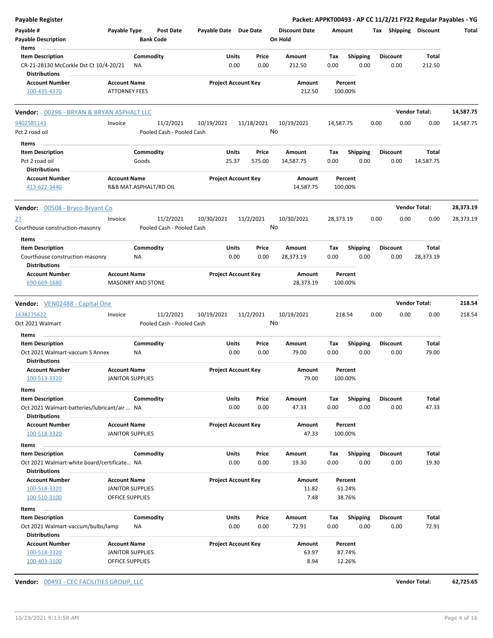| Payable Register                                               |                                             |           |                           |                            |              |            |                      |           |                         |                 |      | Packet: APPKT00493 - AP CC 11/2/21 FY22 Regular Payables - YG |           |
|----------------------------------------------------------------|---------------------------------------------|-----------|---------------------------|----------------------------|--------------|------------|----------------------|-----------|-------------------------|-----------------|------|---------------------------------------------------------------|-----------|
| Payable #                                                      | Payable Type                                |           | <b>Post Date</b>          | Payable Date Due Date      |              |            | <b>Discount Date</b> | Amount    |                         |                 |      | Tax Shipping Discount                                         | Total     |
| <b>Payable Description</b>                                     |                                             |           | <b>Bank Code</b>          |                            |              |            | On Hold              |           |                         |                 |      |                                                               |           |
| Items                                                          |                                             |           |                           |                            |              |            |                      |           |                         |                 |      |                                                               |           |
| <b>Item Description</b>                                        |                                             | Commodity |                           |                            | Units        | Price      | Amount               | Tax       | <b>Shipping</b>         | <b>Discount</b> |      | Total                                                         |           |
| CR-21-28130 McCorkle Dst Ct 10/4-20/21<br><b>Distributions</b> |                                             | ΝA        |                           |                            | 0.00         | 0.00       | 212.50               | 0.00      | 0.00                    | 0.00            |      | 212.50                                                        |           |
| <b>Account Number</b><br>100-435-4370                          | <b>Account Name</b><br><b>ATTORNEY FEES</b> |           |                           | <b>Project Account Key</b> |              |            | Amount<br>212.50     |           | Percent<br>100.00%      |                 |      |                                                               |           |
| Vendor: 00296 - BRYAN & BRYAN ASPHALT LLC                      |                                             |           |                           |                            |              |            |                      |           |                         |                 |      | <b>Vendor Total:</b>                                          | 14,587.75 |
| 9402585143                                                     | Invoice                                     |           | 11/2/2021                 | 10/19/2021                 |              | 11/18/2021 | 10/19/2021           | 14,587.75 |                         | 0.00            | 0.00 | 0.00                                                          | 14,587.75 |
| Pct 2 road oil                                                 |                                             |           | Pooled Cash - Pooled Cash |                            |              | No         |                      |           |                         |                 |      |                                                               |           |
|                                                                |                                             |           |                           |                            |              |            |                      |           |                         |                 |      |                                                               |           |
| Items                                                          |                                             |           |                           |                            |              |            |                      |           |                         |                 |      |                                                               |           |
| <b>Item Description</b>                                        |                                             | Commodity |                           |                            | Units        | Price      | Amount               | Tax       | <b>Shipping</b>         | <b>Discount</b> |      | Total                                                         |           |
| Pct 2 road oil<br><b>Distributions</b>                         |                                             | Goods     |                           |                            | 25.37        | 575.00     | 14,587.75            | 0.00      | 0.00                    | 0.00            |      | 14,587.75                                                     |           |
|                                                                |                                             |           |                           |                            |              |            |                      |           |                         |                 |      |                                                               |           |
| <b>Account Number</b><br>413-622-3440                          | <b>Account Name</b>                         |           | R&B MAT.ASPHALT/RD OIL    | <b>Project Account Key</b> |              |            | Amount<br>14,587.75  |           | Percent<br>100.00%      |                 |      |                                                               |           |
| Vendor: 00508 - Bryco-Bryant Co                                |                                             |           |                           |                            |              |            |                      |           |                         |                 |      | <b>Vendor Total:</b>                                          | 28,373.19 |
| <u>27</u>                                                      | Invoice                                     |           | 11/2/2021                 | 10/30/2021                 |              | 11/2/2021  | 10/30/2021           | 28,373.19 |                         | 0.00            | 0.00 | 0.00                                                          | 28,373.19 |
| Courthouse construction-masonry                                |                                             |           | Pooled Cash - Pooled Cash |                            |              | No         |                      |           |                         |                 |      |                                                               |           |
|                                                                |                                             |           |                           |                            |              |            |                      |           |                         |                 |      |                                                               |           |
| Items                                                          |                                             |           |                           |                            | Units        | Price      | Amount               | Tax       |                         | <b>Discount</b> |      | Total                                                         |           |
| <b>Item Description</b>                                        |                                             | Commodity |                           |                            |              |            |                      |           | <b>Shipping</b>         |                 |      |                                                               |           |
| Courthouse construction-masonry<br><b>Distributions</b>        |                                             | ΝA        |                           |                            | 0.00         | 0.00       | 28,373.19            | 0.00      | 0.00                    | 0.00            |      | 28,373.19                                                     |           |
| <b>Account Number</b>                                          | <b>Account Name</b>                         |           |                           | <b>Project Account Key</b> |              |            | Amount               |           | Percent                 |                 |      |                                                               |           |
| 690-669-1680                                                   | <b>MASONRY AND STONE</b>                    |           |                           |                            |              |            | 28,373.19            |           | 100.00%                 |                 |      |                                                               |           |
|                                                                |                                             |           |                           |                            |              |            |                      |           |                         |                 |      |                                                               |           |
| <b>Vendor:</b> VEN02488 - Capital One                          |                                             |           |                           |                            |              |            |                      |           |                         |                 |      | <b>Vendor Total:</b>                                          | 218.54    |
| 1638275622                                                     | Invoice                                     |           | 11/2/2021                 | 10/19/2021                 |              | 11/2/2021  | 10/19/2021           |           | 218.54                  | 0.00            | 0.00 | 0.00                                                          | 218.54    |
| Oct 2021 Walmart                                               |                                             |           | Pooled Cash - Pooled Cash |                            |              | No         |                      |           |                         |                 |      |                                                               |           |
|                                                                |                                             |           |                           |                            |              |            |                      |           |                         |                 |      |                                                               |           |
| Items<br><b>Item Description</b>                               |                                             | Commodity |                           |                            | Units        | Price      | Amount               | Tax       |                         | <b>Discount</b> |      | Total                                                         |           |
| Oct 2021 Walmart-vaccum S Annex                                |                                             |           |                           |                            | 0.00         | 0.00       | 79.00                | 0.00      | <b>Shipping</b><br>0.00 | 0.00            |      | 79.00                                                         |           |
| <b>Distributions</b>                                           |                                             | ΝA        |                           |                            |              |            |                      |           |                         |                 |      |                                                               |           |
| <b>Account Number</b>                                          | <b>Account Name</b>                         |           |                           | <b>Project Account Key</b> |              |            | Amount               |           | Percent                 |                 |      |                                                               |           |
|                                                                | <b>JANITOR SUPPLIES</b>                     |           |                           |                            |              |            | 79.00                |           |                         |                 |      |                                                               |           |
| 100-513-3320                                                   |                                             |           |                           |                            |              |            |                      |           | 100.00%                 |                 |      |                                                               |           |
| Items                                                          |                                             |           |                           |                            |              |            |                      |           |                         |                 |      |                                                               |           |
| <b>Item Description</b>                                        |                                             | Commodity |                           |                            | Units        | Price      | Amount               | Tax       | Shipping                | <b>Discount</b> |      | Total                                                         |           |
| Oct 2021 Walmart-batteries/lubricant/air  NA                   |                                             |           |                           |                            | 0.00         | 0.00       | 47.33                | 0.00      | 0.00                    | 0.00            |      | 47.33                                                         |           |
| <b>Distributions</b>                                           |                                             |           |                           |                            |              |            |                      |           |                         |                 |      |                                                               |           |
| <b>Account Number</b>                                          | <b>Account Name</b>                         |           |                           | <b>Project Account Key</b> |              |            | Amount               |           | Percent                 |                 |      |                                                               |           |
| 100-518-3320                                                   | <b>JANITOR SUPPLIES</b>                     |           |                           |                            |              |            | 47.33                |           | 100.00%                 |                 |      |                                                               |           |
| Items                                                          |                                             |           |                           |                            |              |            |                      |           |                         |                 |      |                                                               |           |
| <b>Item Description</b>                                        |                                             | Commodity |                           |                            | <b>Units</b> | Price      | Amount               | Tax       | Shipping                | <b>Discount</b> |      | Total                                                         |           |
| Oct 2021 Walmart-white board/certificate NA                    |                                             |           |                           |                            | 0.00         | 0.00       | 19.30                | 0.00      | 0.00                    | 0.00            |      | 19.30                                                         |           |
| <b>Distributions</b>                                           |                                             |           |                           |                            |              |            |                      |           |                         |                 |      |                                                               |           |
| <b>Account Number</b>                                          |                                             |           |                           | <b>Project Account Key</b> |              |            | Amount               |           | Percent                 |                 |      |                                                               |           |
|                                                                | <b>Account Name</b>                         |           |                           |                            |              |            | 11.82                |           | 61.24%                  |                 |      |                                                               |           |
| 100-518-3320                                                   | <b>JANITOR SUPPLIES</b>                     |           |                           |                            |              |            |                      |           |                         |                 |      |                                                               |           |
| 100-510-3100                                                   | OFFICE SUPPLIES                             |           |                           |                            |              |            | 7.48                 |           | 38.76%                  |                 |      |                                                               |           |
| Items                                                          |                                             |           |                           |                            |              |            |                      |           |                         |                 |      |                                                               |           |
| <b>Item Description</b>                                        |                                             | Commodity |                           |                            | <b>Units</b> | Price      | Amount               | Tax       |                         | <b>Discount</b> |      | Total                                                         |           |
|                                                                |                                             |           |                           |                            | 0.00         | 0.00       | 72.91                | 0.00      | <b>Shipping</b><br>0.00 | 0.00            |      | 72.91                                                         |           |
| Oct 2021 Walmart-vaccum/bulbs/lamp<br><b>Distributions</b>     |                                             | ΝA        |                           |                            |              |            |                      |           |                         |                 |      |                                                               |           |
| <b>Account Number</b>                                          | <b>Account Name</b>                         |           |                           | <b>Project Account Key</b> |              |            | Amount               |           | Percent                 |                 |      |                                                               |           |
| 100-518-3320                                                   | <b>JANITOR SUPPLIES</b>                     |           |                           |                            |              |            | 63.97                |           | 87.74%                  |                 |      |                                                               |           |

**Vendor:** 00493 - CEC FACILITIES GROUP, LLC **Vendor Total: 62,725.65**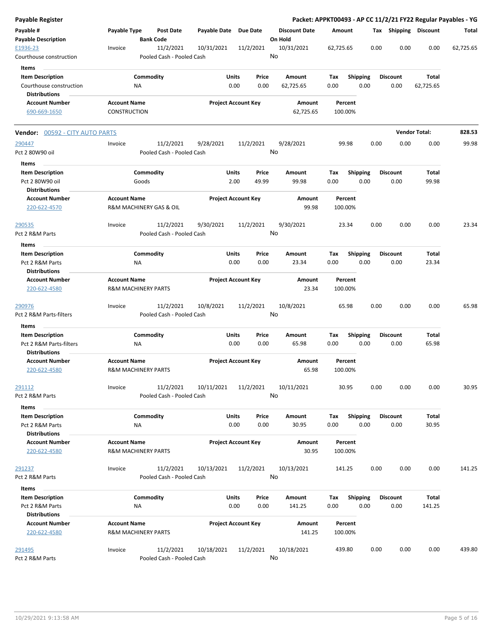| <b>Payable Register</b>                         |                     |                                        |                       |                                |                                 |                 |                    |                         |      |                         |                       | Packet: APPKT00493 - AP CC 11/2/21 FY22 Regular Payables - YG |
|-------------------------------------------------|---------------------|----------------------------------------|-----------------------|--------------------------------|---------------------------------|-----------------|--------------------|-------------------------|------|-------------------------|-----------------------|---------------------------------------------------------------|
| Payable #<br><b>Payable Description</b>         | Payable Type        | <b>Post Date</b><br><b>Bank Code</b>   | Payable Date Due Date |                                | <b>Discount Date</b><br>On Hold |                 | Amount             |                         |      |                         | Tax Shipping Discount | Total                                                         |
| E1936-23<br>Courthouse construction             | Invoice             | 11/2/2021<br>Pooled Cash - Pooled Cash | 10/31/2021            | 11/2/2021                      | 10/31/2021<br>No                |                 | 62,725.65          |                         | 0.00 | 0.00                    | 0.00                  | 62,725.65                                                     |
| Items                                           |                     |                                        |                       |                                |                                 |                 |                    |                         |      |                         |                       |                                                               |
| <b>Item Description</b>                         |                     | Commodity                              |                       | Units<br>Price                 | Amount                          |                 | Tax                | <b>Shipping</b>         |      | <b>Discount</b>         | Total                 |                                                               |
| Courthouse construction                         |                     | ΝA                                     |                       | 0.00<br>0.00                   | 62,725.65                       |                 | 0.00               | 0.00                    |      | 0.00                    | 62,725.65             |                                                               |
| <b>Distributions</b>                            |                     |                                        |                       |                                |                                 |                 |                    |                         |      |                         |                       |                                                               |
| <b>Account Number</b>                           | <b>Account Name</b> |                                        |                       | <b>Project Account Key</b>     |                                 | Amount          | Percent            |                         |      |                         |                       |                                                               |
| 690-669-1650                                    | <b>CONSTRUCTION</b> |                                        |                       |                                |                                 | 62,725.65       | 100.00%            |                         |      |                         |                       |                                                               |
| <b>Vendor: 00592 - CITY AUTO PARTS</b>          |                     |                                        |                       |                                |                                 |                 |                    |                         |      |                         | <b>Vendor Total:</b>  | 828.53                                                        |
| 290447                                          | Invoice             | 11/2/2021                              | 9/28/2021             | 11/2/2021                      | 9/28/2021                       |                 | 99.98              |                         | 0.00 | 0.00                    | 0.00                  | 99.98                                                         |
| Pct 2 80W90 oil                                 |                     | Pooled Cash - Pooled Cash              |                       |                                | No                              |                 |                    |                         |      |                         |                       |                                                               |
| Items                                           |                     |                                        |                       |                                |                                 |                 |                    |                         |      |                         |                       |                                                               |
| <b>Item Description</b>                         |                     | Commodity                              |                       | Units<br>Price                 | Amount                          |                 | Tax                | <b>Shipping</b>         |      | <b>Discount</b>         | Total                 |                                                               |
| Pct 2 80W90 oil<br><b>Distributions</b>         |                     | Goods                                  |                       | 2.00<br>49.99                  | 99.98                           |                 | 0.00               | 0.00                    |      | 0.00                    | 99.98                 |                                                               |
| <b>Account Number</b><br>220-622-4570           | <b>Account Name</b> | R&M MACHINERY GAS & OIL                |                       | <b>Project Account Key</b>     |                                 | Amount<br>99.98 | Percent<br>100.00% |                         |      |                         |                       |                                                               |
| 290535                                          | Invoice             | 11/2/2021                              | 9/30/2021             | 11/2/2021                      | 9/30/2021                       |                 | 23.34              |                         | 0.00 | 0.00                    | 0.00                  | 23.34                                                         |
| Pct 2 R&M Parts<br>Items                        |                     | Pooled Cash - Pooled Cash              |                       |                                | No                              |                 |                    |                         |      |                         |                       |                                                               |
| <b>Item Description</b>                         |                     | Commodity                              |                       | Units<br>Price                 | Amount                          |                 | Tax                | <b>Shipping</b>         |      | <b>Discount</b>         | Total                 |                                                               |
| Pct 2 R&M Parts<br><b>Distributions</b>         |                     | ΝA                                     |                       | 0.00<br>0.00                   | 23.34                           |                 | 0.00               | 0.00                    |      | 0.00                    | 23.34                 |                                                               |
| <b>Account Number</b><br>220-622-4580           | <b>Account Name</b> | <b>R&amp;M MACHINERY PARTS</b>         |                       | <b>Project Account Key</b>     |                                 | Amount<br>23.34 | Percent<br>100.00% |                         |      |                         |                       |                                                               |
| 290976                                          | Invoice             | 11/2/2021                              | 10/8/2021             | 11/2/2021                      | 10/8/2021                       |                 | 65.98              |                         | 0.00 | 0.00                    | 0.00                  | 65.98                                                         |
| Pct 2 R&M Parts-filters                         |                     | Pooled Cash - Pooled Cash              |                       |                                | No                              |                 |                    |                         |      |                         |                       |                                                               |
| Items                                           |                     |                                        |                       |                                |                                 |                 |                    |                         |      |                         |                       |                                                               |
| <b>Item Description</b>                         |                     | Commodity                              |                       | Units<br>Price                 | Amount                          |                 | Tax                | <b>Shipping</b>         |      | <b>Discount</b>         | Total                 |                                                               |
| Pct 2 R&M Parts-filters<br><b>Distributions</b> |                     | <b>NA</b>                              |                       | 0.00<br>0.00                   | 65.98                           |                 | 0.00               | 0.00                    |      | 0.00                    | 65.98                 |                                                               |
| <b>Account Number</b><br>220-622-4580           | <b>Account Name</b> | <b>R&amp;M MACHINERY PARTS</b>         |                       | <b>Project Account Key</b>     |                                 | Amount<br>65.98 | Percent<br>100.00% |                         |      |                         |                       |                                                               |
| 291112                                          | Invoice             | 11/2/2021                              | 10/11/2021            | 11/2/2021                      | 10/11/2021                      |                 | 30.95              |                         | 0.00 | 0.00                    | 0.00                  | 30.95                                                         |
| Pct 2 R&M Parts                                 |                     | Pooled Cash - Pooled Cash              |                       |                                | No                              |                 |                    |                         |      |                         |                       |                                                               |
| Items                                           |                     |                                        |                       |                                |                                 |                 |                    |                         |      |                         |                       |                                                               |
| <b>Item Description</b><br>Pct 2 R&M Parts      |                     | Commodity<br>ΝA                        |                       | Units<br>Price<br>0.00<br>0.00 | Amount<br>30.95                 |                 | Tax<br>0.00        | <b>Shipping</b><br>0.00 |      | <b>Discount</b><br>0.00 | Total<br>30.95        |                                                               |
| <b>Distributions</b>                            |                     |                                        |                       |                                |                                 |                 |                    |                         |      |                         |                       |                                                               |
| <b>Account Number</b><br>220-622-4580           | <b>Account Name</b> | <b>R&amp;M MACHINERY PARTS</b>         |                       | <b>Project Account Key</b>     |                                 | Amount<br>30.95 | Percent<br>100.00% |                         |      |                         |                       |                                                               |
| 291237                                          | Invoice             | 11/2/2021                              | 10/13/2021            | 11/2/2021                      | 10/13/2021                      |                 | 141.25             |                         | 0.00 | 0.00                    | 0.00                  | 141.25                                                        |
| Pct 2 R&M Parts                                 |                     | Pooled Cash - Pooled Cash              |                       |                                | No                              |                 |                    |                         |      |                         |                       |                                                               |
| Items                                           |                     |                                        |                       |                                |                                 |                 |                    |                         |      |                         |                       |                                                               |
| <b>Item Description</b>                         |                     | Commodity                              |                       | Units<br>Price                 | Amount                          |                 | Tax                | <b>Shipping</b>         |      | <b>Discount</b>         | Total                 |                                                               |
| Pct 2 R&M Parts<br><b>Distributions</b>         |                     | ΝA                                     |                       | 0.00<br>0.00                   | 141.25                          |                 | 0.00               | 0.00                    |      | 0.00                    | 141.25                |                                                               |
| <b>Account Number</b>                           | <b>Account Name</b> |                                        |                       | <b>Project Account Key</b>     |                                 | Amount          | Percent            |                         |      |                         |                       |                                                               |
| 220-622-4580                                    |                     | <b>R&amp;M MACHINERY PARTS</b>         |                       |                                |                                 | 141.25          | 100.00%            |                         |      |                         |                       |                                                               |
| 291495                                          | Invoice             | 11/2/2021                              | 10/18/2021            | 11/2/2021                      | 10/18/2021                      |                 | 439.80             |                         | 0.00 | 0.00                    | 0.00                  | 439.80                                                        |
| Pct 2 R&M Parts                                 |                     | Pooled Cash - Pooled Cash              |                       |                                | No                              |                 |                    |                         |      |                         |                       |                                                               |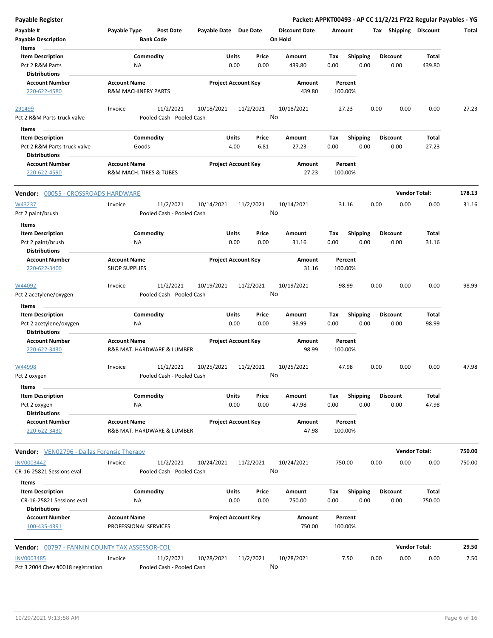| <b>Payable Register</b>                        |                                                   |                            |                      | Packet: APPKT00493 - AP CC 11/2/21 FY22 Regular Payables - YG |                       |                      |        |
|------------------------------------------------|---------------------------------------------------|----------------------------|----------------------|---------------------------------------------------------------|-----------------------|----------------------|--------|
| Payable #                                      | Payable Type<br>Post Date                         | Payable Date Due Date      | <b>Discount Date</b> | Amount                                                        | Tax Shipping Discount |                      | Total  |
| <b>Payable Description</b>                     | <b>Bank Code</b>                                  |                            | On Hold              |                                                               |                       |                      |        |
| Items                                          |                                                   |                            |                      |                                                               |                       |                      |        |
| <b>Item Description</b>                        | Commodity                                         | <b>Units</b><br>Price      | Amount               | <b>Shipping</b><br>Tax                                        | <b>Discount</b>       | Total                |        |
| Pct 2 R&M Parts                                | <b>NA</b>                                         | 0.00<br>0.00               | 439.80               | 0.00<br>0.00                                                  | 0.00                  | 439.80               |        |
| <b>Distributions</b>                           |                                                   |                            |                      |                                                               |                       |                      |        |
| <b>Account Number</b>                          | <b>Account Name</b>                               | <b>Project Account Key</b> | Amount               | Percent                                                       |                       |                      |        |
| 220-622-4580                                   | R&M MACHINERY PARTS                               |                            | 439.80               | 100.00%                                                       |                       |                      |        |
| 291499                                         | 11/2/2021<br>Invoice                              | 10/18/2021<br>11/2/2021    | 10/18/2021           | 27.23                                                         | 0.00<br>0.00          | 0.00                 | 27.23  |
| Pct 2 R&M Parts-truck valve                    | Pooled Cash - Pooled Cash                         |                            | No                   |                                                               |                       |                      |        |
| Items                                          |                                                   |                            |                      |                                                               |                       |                      |        |
| <b>Item Description</b>                        | Commodity                                         | <b>Units</b><br>Price      | Amount               | <b>Shipping</b><br>Tax                                        | <b>Discount</b>       | Total                |        |
| Pct 2 R&M Parts-truck valve                    | Goods                                             | 4.00<br>6.81               | 27.23                | 0.00<br>0.00                                                  | 0.00                  | 27.23                |        |
| <b>Distributions</b>                           |                                                   |                            |                      |                                                               |                       |                      |        |
| <b>Account Number</b>                          | <b>Account Name</b>                               | <b>Project Account Key</b> | Amount               | Percent                                                       |                       |                      |        |
| 220-622-4590                                   | R&M MACH. TIRES & TUBES                           |                            | 27.23                | 100.00%                                                       |                       |                      |        |
| Vendor: 00055 - CROSSROADS HARDWARE            |                                                   |                            |                      |                                                               |                       | <b>Vendor Total:</b> | 178.13 |
|                                                |                                                   |                            |                      |                                                               |                       |                      |        |
| W43237                                         | 11/2/2021<br>Invoice<br>Pooled Cash - Pooled Cash | 10/14/2021<br>11/2/2021    | 10/14/2021<br>No     | 31.16                                                         | 0.00<br>0.00          | 0.00                 | 31.16  |
| Pct 2 paint/brush                              |                                                   |                            |                      |                                                               |                       |                      |        |
| Items                                          |                                                   |                            |                      |                                                               |                       |                      |        |
| <b>Item Description</b>                        | Commodity                                         | <b>Units</b><br>Price      | Amount               | <b>Shipping</b><br>Tax                                        | <b>Discount</b>       | Total                |        |
| Pct 2 paint/brush                              | ΝA                                                | 0.00<br>0.00               | 31.16                | 0.00<br>0.00                                                  | 0.00                  | 31.16                |        |
| <b>Distributions</b>                           |                                                   |                            |                      |                                                               |                       |                      |        |
| <b>Account Number</b>                          | <b>Account Name</b>                               | <b>Project Account Key</b> | Amount               | Percent                                                       |                       |                      |        |
| 220-622-3400                                   | <b>SHOP SUPPLIES</b>                              |                            | 31.16                | 100.00%                                                       |                       |                      |        |
| W44092                                         | 11/2/2021<br>Invoice                              | 10/19/2021<br>11/2/2021    | 10/19/2021           | 98.99                                                         | 0.00<br>0.00          | 0.00                 | 98.99  |
| Pct 2 acetylene/oxygen                         | Pooled Cash - Pooled Cash                         |                            | No                   |                                                               |                       |                      |        |
| Items                                          |                                                   |                            |                      |                                                               |                       |                      |        |
| <b>Item Description</b>                        | Commodity                                         | Units<br>Price             | Amount               | <b>Shipping</b><br>Tax                                        | Discount              | Total                |        |
| Pct 2 acetylene/oxygen                         | <b>NA</b>                                         | 0.00<br>0.00               | 98.99                | 0.00<br>0.00                                                  | 0.00                  | 98.99                |        |
| <b>Distributions</b>                           |                                                   |                            |                      |                                                               |                       |                      |        |
| <b>Account Number</b>                          | <b>Account Name</b>                               | <b>Project Account Key</b> | Amount               | Percent                                                       |                       |                      |        |
| 220-622-3430                                   | R&B MAT. HARDWARE & LUMBER                        |                            | 98.99                | 100.00%                                                       |                       |                      |        |
| W44998                                         | 11/2/2021<br>Invoice                              | 10/25/2021<br>11/2/2021    | 10/25/2021           | 47.98                                                         | 0.00<br>0.00          | 0.00                 | 47.98  |
| Pct 2 oxygen                                   | Pooled Cash - Pooled Cash                         |                            | No.                  |                                                               |                       |                      |        |
|                                                |                                                   |                            |                      |                                                               |                       |                      |        |
| Items                                          |                                                   |                            |                      |                                                               |                       |                      |        |
| <b>Item Description</b>                        | Commodity                                         | <b>Units</b><br>Price      | Amount               | <b>Shipping</b><br>Tax                                        | Discount              | Total                |        |
| Pct 2 oxygen                                   | NA                                                | 0.00<br>0.00               | 47.98                | 0.00<br>0.00                                                  | 0.00                  | 47.98                |        |
| <b>Distributions</b>                           |                                                   | <b>Project Account Key</b> |                      |                                                               |                       |                      |        |
| <b>Account Number</b><br>220-622-3430          | <b>Account Name</b><br>R&B MAT. HARDWARE & LUMBER |                            | Amount<br>47.98      | Percent<br>100.00%                                            |                       |                      |        |
|                                                |                                                   |                            |                      |                                                               |                       | <b>Vendor Total:</b> | 750.00 |
| Vendor: VEN02796 - Dallas Forensic Therapy     |                                                   |                            |                      |                                                               |                       |                      |        |
| <b>INV0003442</b>                              | Invoice<br>11/2/2021                              | 10/24/2021<br>11/2/2021    | 10/24/2021           | 750.00                                                        | 0.00<br>0.00          | 0.00                 | 750.00 |
| CR-16-25821 Sessions eval                      | Pooled Cash - Pooled Cash                         |                            | No                   |                                                               |                       |                      |        |
| Items                                          |                                                   |                            |                      |                                                               |                       |                      |        |
| <b>Item Description</b>                        | Commodity                                         | <b>Units</b><br>Price      | Amount               | Shipping<br>Tax                                               | <b>Discount</b>       | Total                |        |
| CR-16-25821 Sessions eval                      | <b>NA</b>                                         | 0.00<br>0.00               | 750.00               | 0.00<br>0.00                                                  | 0.00                  | 750.00               |        |
| <b>Distributions</b>                           |                                                   |                            |                      |                                                               |                       |                      |        |
| <b>Account Number</b>                          | <b>Account Name</b>                               | <b>Project Account Key</b> | Amount               | Percent                                                       |                       |                      |        |
| 100-435-4391                                   | PROFESSIONAL SERVICES                             |                            | 750.00               | 100.00%                                                       |                       |                      |        |
|                                                |                                                   |                            |                      |                                                               |                       |                      |        |
| Vendor: 00797 - FANNIN COUNTY TAX ASSESSOR-COL |                                                   |                            |                      |                                                               |                       | <b>Vendor Total:</b> | 29.50  |
| <b>INV0003485</b>                              | Invoice<br>11/2/2021                              | 10/28/2021<br>11/2/2021    | 10/28/2021           | 7.50                                                          | 0.00<br>0.00          | 0.00                 | 7.50   |
| Pct 3 2004 Chev #0018 registration             | Pooled Cash - Pooled Cash                         |                            | No                   |                                                               |                       |                      |        |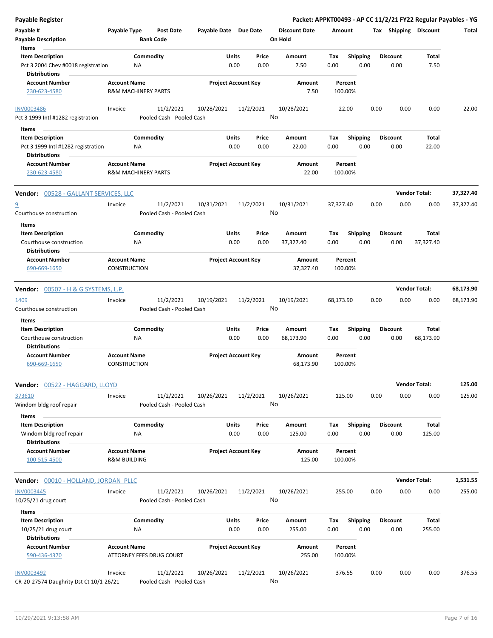| <b>Payable Register</b>                                                               |                                            |                                        |                       |                            |                                 |                    |                         | Packet: APPKT00493 - AP CC 11/2/21 FY22 Regular Payables - YG |                           |           |
|---------------------------------------------------------------------------------------|--------------------------------------------|----------------------------------------|-----------------------|----------------------------|---------------------------------|--------------------|-------------------------|---------------------------------------------------------------|---------------------------|-----------|
| Payable #<br><b>Payable Description</b>                                               | Payable Type                               | <b>Post Date</b><br><b>Bank Code</b>   | Payable Date Due Date |                            | <b>Discount Date</b><br>On Hold | Amount             |                         | Tax Shipping Discount                                         |                           | Total     |
| Items                                                                                 |                                            |                                        |                       |                            |                                 |                    |                         |                                                               |                           |           |
| <b>Item Description</b><br>Pct 3 2004 Chev #0018 registration<br><b>Distributions</b> |                                            | Commodity<br>NA                        | Units<br>0.00         | Price<br>0.00              | Amount<br>7.50                  | Tax<br>0.00        | <b>Shipping</b><br>0.00 | <b>Discount</b><br>0.00                                       | Total<br>7.50             |           |
| <b>Account Number</b><br>230-623-4580                                                 | <b>Account Name</b>                        | <b>R&amp;M MACHINERY PARTS</b>         |                       | <b>Project Account Key</b> | Amount<br>7.50                  | Percent<br>100.00% |                         |                                                               |                           |           |
| <b>INV0003486</b><br>Pct 3 1999 Intl #1282 registration                               | Invoice                                    | 11/2/2021<br>Pooled Cash - Pooled Cash | 10/28/2021            | 11/2/2021                  | 10/28/2021<br>No                | 22.00              |                         | 0.00<br>0.00                                                  | 0.00                      | 22.00     |
|                                                                                       |                                            |                                        |                       |                            |                                 |                    |                         |                                                               |                           |           |
| Items                                                                                 |                                            |                                        |                       |                            |                                 |                    |                         |                                                               |                           |           |
| <b>Item Description</b><br>Pct 3 1999 Intl #1282 registration<br><b>Distributions</b> |                                            | Commodity<br>ΝA                        | Units                 | Price<br>0.00<br>0.00      | Amount<br>22.00                 | Tax<br>0.00        | <b>Shipping</b><br>0.00 | <b>Discount</b><br>0.00                                       | Total<br>22.00            |           |
| <b>Account Number</b><br>230-623-4580                                                 | <b>Account Name</b>                        | <b>R&amp;M MACHINERY PARTS</b>         |                       | <b>Project Account Key</b> | Amount<br>22.00                 | Percent<br>100.00% |                         |                                                               |                           |           |
| <b>Vendor: 00528 - GALLANT SERVICES, LLC</b>                                          |                                            |                                        |                       |                            |                                 |                    |                         |                                                               | <b>Vendor Total:</b>      | 37,327.40 |
| $\overline{a}$<br>Courthouse construction                                             | Invoice                                    | 11/2/2021<br>Pooled Cash - Pooled Cash | 10/31/2021            | 11/2/2021                  | 10/31/2021<br>No                | 37,327.40          |                         | 0.00<br>0.00                                                  | 0.00                      | 37,327.40 |
| Items                                                                                 |                                            |                                        |                       |                            |                                 |                    |                         |                                                               |                           |           |
| <b>Item Description</b><br>Courthouse construction                                    |                                            | Commodity<br>ΝA                        | Units                 | Price<br>0.00<br>0.00      | Amount<br>37,327.40             | Tax<br>0.00        | Shipping<br>0.00        | <b>Discount</b><br>0.00                                       | <b>Total</b><br>37,327.40 |           |
| <b>Distributions</b><br><b>Account Number</b>                                         | <b>Account Name</b>                        |                                        |                       | <b>Project Account Key</b> | Amount                          | Percent            |                         |                                                               |                           |           |
| 690-669-1650                                                                          | <b>CONSTRUCTION</b>                        |                                        |                       |                            | 37,327.40                       | 100.00%            |                         |                                                               |                           |           |
| <b>Vendor:</b> 00507 - H & G SYSTEMS, L.P.                                            |                                            |                                        |                       |                            |                                 |                    |                         |                                                               | <b>Vendor Total:</b>      | 68,173.90 |
|                                                                                       |                                            |                                        |                       |                            |                                 |                    |                         |                                                               |                           |           |
| 1409<br>Courthouse construction                                                       | Invoice                                    | 11/2/2021<br>Pooled Cash - Pooled Cash | 10/19/2021            | 11/2/2021                  | 10/19/2021<br>No                | 68,173.90          |                         | 0.00<br>0.00                                                  | 0.00                      | 68,173.90 |
| Items                                                                                 |                                            |                                        |                       |                            |                                 |                    |                         |                                                               |                           |           |
| <b>Item Description</b>                                                               |                                            | Commodity                              | Units                 | Price                      | Amount                          | Tax                | <b>Shipping</b>         | <b>Discount</b>                                               | Total                     |           |
| Courthouse construction<br><b>Distributions</b>                                       |                                            | ΝA                                     | 0.00                  | 0.00                       | 68,173.90                       | 0.00               | 0.00                    | 0.00                                                          | 68,173.90                 |           |
| <b>Account Number</b><br>690-669-1650                                                 | <b>Account Name</b><br><b>CONSTRUCTION</b> |                                        |                       | <b>Project Account Key</b> | Amount<br>68,173.90             | Percent<br>100.00% |                         |                                                               |                           |           |
| Vendor: 00522 - HAGGARD, LLOYD                                                        |                                            |                                        |                       |                            |                                 |                    |                         |                                                               | <b>Vendor Total:</b>      | 125.00    |
| 373610<br>Windom bldg roof repair                                                     | Invoice                                    | 11/2/2021<br>Pooled Cash - Pooled Cash | 10/26/2021            | 11/2/2021                  | 10/26/2021<br>No                | 125.00             |                         | 0.00<br>0.00                                                  | 0.00                      | 125.00    |
| Items<br><b>Item Description</b><br>Windom bldg roof repair<br><b>Distributions</b>   |                                            | Commodity<br>ΝA                        | Units                 | Price<br>0.00<br>0.00      | Amount<br>125.00                | Tax<br>0.00        | <b>Shipping</b><br>0.00 | <b>Discount</b><br>0.00                                       | Total<br>125.00           |           |
| <b>Account Number</b><br>100-515-4500                                                 | <b>Account Name</b><br>R&M BUILDING        |                                        |                       | <b>Project Account Key</b> | Amount<br>125.00                | Percent<br>100.00% |                         |                                                               |                           |           |
| Vendor: 00010 - HOLLAND, JORDAN PLLC                                                  |                                            |                                        |                       |                            |                                 |                    |                         |                                                               | <b>Vendor Total:</b>      | 1,531.55  |
| <b>INV0003445</b>                                                                     | Invoice                                    | 11/2/2021                              | 10/26/2021            | 11/2/2021                  | 10/26/2021                      | 255.00             |                         | 0.00<br>0.00                                                  | 0.00                      | 255.00    |
| 10/25/21 drug court                                                                   |                                            | Pooled Cash - Pooled Cash              |                       |                            | No                              |                    |                         |                                                               |                           |           |
| Items                                                                                 |                                            |                                        |                       |                            |                                 |                    |                         |                                                               |                           |           |
| <b>Item Description</b><br>10/25/21 drug court<br><b>Distributions</b>                |                                            | Commodity<br>NA                        | Units                 | Price<br>0.00<br>0.00      | Amount<br>255.00                | Tax<br>0.00        | <b>Shipping</b><br>0.00 | <b>Discount</b><br>0.00                                       | Total<br>255.00           |           |
| <b>Account Number</b><br>590-436-4370                                                 | <b>Account Name</b>                        | ATTORNEY FEES DRUG COURT               |                       | <b>Project Account Key</b> | Amount<br>255.00                | Percent<br>100.00% |                         |                                                               |                           |           |
| <b>INV0003492</b><br>CR-20-27574 Daughrity Dst Ct 10/1-26/21                          | Invoice                                    | 11/2/2021<br>Pooled Cash - Pooled Cash | 10/26/2021            | 11/2/2021                  | 10/26/2021<br>No                | 376.55             |                         | 0.00<br>0.00                                                  | 0.00                      | 376.55    |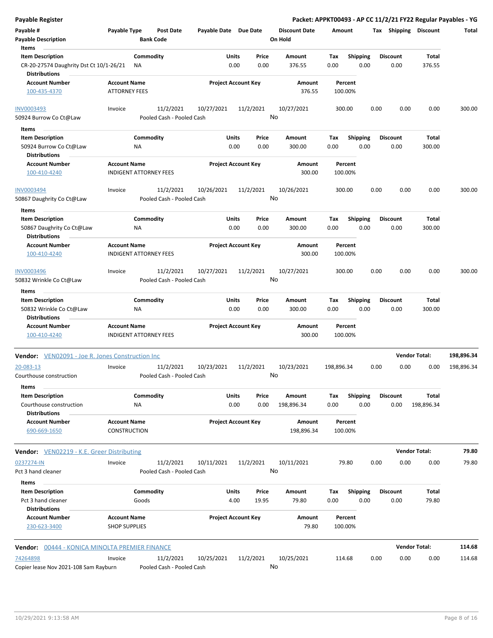| Payable Register                                                |                                     |           |                                        |                       |       |                            |                                       |            |                 |      |      |                 |                       | Packet: APPKT00493 - AP CC 11/2/21 FY22 Regular Payables - YG |
|-----------------------------------------------------------------|-------------------------------------|-----------|----------------------------------------|-----------------------|-------|----------------------------|---------------------------------------|------------|-----------------|------|------|-----------------|-----------------------|---------------------------------------------------------------|
| Payable #                                                       | Payable Type                        |           | Post Date                              | Payable Date Due Date |       |                            | <b>Discount Date</b>                  | Amount     |                 |      |      |                 | Tax Shipping Discount | Total                                                         |
| <b>Payable Description</b>                                      |                                     |           | <b>Bank Code</b>                       |                       |       |                            | On Hold                               |            |                 |      |      |                 |                       |                                                               |
| Items                                                           |                                     |           |                                        |                       |       |                            |                                       |            |                 |      |      |                 |                       |                                                               |
| <b>Item Description</b>                                         |                                     | Commodity |                                        |                       | Units | Price                      | Amount                                | Tax        | <b>Shipping</b> |      |      | Discount        | Total                 |                                                               |
| CR-20-27574 Daughrity Dst Ct 10/1-26/21<br><b>Distributions</b> |                                     | NA.       |                                        |                       | 0.00  | 0.00                       | 376.55                                | 0.00       |                 | 0.00 |      | 0.00            | 376.55                |                                                               |
| <b>Account Number</b>                                           | <b>Account Name</b>                 |           |                                        |                       |       | <b>Project Account Key</b> | Amount                                |            | Percent         |      |      |                 |                       |                                                               |
| 100-435-4370                                                    | <b>ATTORNEY FEES</b>                |           |                                        |                       |       |                            | 376.55                                | 100.00%    |                 |      |      |                 |                       |                                                               |
| <b>INV0003493</b><br>50924 Burrow Co Ct@Law                     | Invoice                             |           | 11/2/2021<br>Pooled Cash - Pooled Cash | 10/27/2021            |       | 11/2/2021<br>No            | 10/27/2021                            | 300.00     |                 |      | 0.00 | 0.00            | 0.00                  | 300.00                                                        |
|                                                                 |                                     |           |                                        |                       |       |                            |                                       |            |                 |      |      |                 |                       |                                                               |
| Items                                                           |                                     |           |                                        |                       |       |                            |                                       |            |                 |      |      |                 |                       |                                                               |
| <b>Item Description</b>                                         |                                     | Commodity |                                        |                       | Units | Price                      | Amount                                | Tax        | <b>Shipping</b> |      |      | Discount        | Total                 |                                                               |
| 50924 Burrow Co Ct@Law<br><b>Distributions</b>                  |                                     | ΝA        |                                        |                       | 0.00  | 0.00                       | 300.00                                | 0.00       |                 | 0.00 |      | 0.00            | 300.00                |                                                               |
| <b>Account Number</b>                                           | <b>Account Name</b>                 |           |                                        |                       |       | <b>Project Account Key</b> | Amount                                |            | Percent         |      |      |                 |                       |                                                               |
| 100-410-4240                                                    | <b>INDIGENT ATTORNEY FEES</b>       |           |                                        |                       |       |                            | 300.00                                | 100.00%    |                 |      |      |                 |                       |                                                               |
| <b>INV0003494</b>                                               | Invoice                             |           | 11/2/2021                              | 10/26/2021            |       | 11/2/2021                  | 10/26/2021                            | 300.00     |                 |      | 0.00 | 0.00            | 0.00                  | 300.00                                                        |
| 50867 Daughrity Co Ct@Law                                       |                                     |           | Pooled Cash - Pooled Cash              |                       |       | No                         |                                       |            |                 |      |      |                 |                       |                                                               |
| Items                                                           |                                     |           |                                        |                       |       |                            |                                       |            |                 |      |      |                 |                       |                                                               |
| <b>Item Description</b>                                         |                                     | Commodity |                                        |                       | Units | Price                      | Amount                                | Tax        | <b>Shipping</b> |      |      | <b>Discount</b> | Total                 |                                                               |
| 50867 Daughrity Co Ct@Law                                       |                                     | ΝA        |                                        |                       | 0.00  | 0.00                       | 300.00                                | 0.00       |                 | 0.00 |      | 0.00            | 300.00                |                                                               |
| <b>Distributions</b>                                            |                                     |           |                                        |                       |       |                            |                                       |            |                 |      |      |                 |                       |                                                               |
| <b>Account Number</b>                                           | <b>Account Name</b>                 |           |                                        |                       |       | <b>Project Account Key</b> | <b>Amount</b>                         |            | Percent         |      |      |                 |                       |                                                               |
| 100-410-4240                                                    | <b>INDIGENT ATTORNEY FEES</b>       |           |                                        |                       |       |                            | 300.00                                | 100.00%    |                 |      |      |                 |                       |                                                               |
| <b>INV0003496</b>                                               | Invoice                             |           | 11/2/2021                              | 10/27/2021            |       | 11/2/2021                  | 10/27/2021                            | 300.00     |                 |      | 0.00 | 0.00            | 0.00                  | 300.00                                                        |
| 50832 Wrinkle Co Ct@Law                                         |                                     |           | Pooled Cash - Pooled Cash              |                       |       | No                         |                                       |            |                 |      |      |                 |                       |                                                               |
| Items                                                           |                                     |           |                                        |                       |       |                            |                                       |            |                 |      |      |                 |                       |                                                               |
| <b>Item Description</b>                                         |                                     | Commodity |                                        |                       | Units | Price                      | Amount                                | Tax        | <b>Shipping</b> |      |      | <b>Discount</b> | Total                 |                                                               |
| 50832 Wrinkle Co Ct@Law                                         |                                     | ΝA        |                                        |                       | 0.00  | 0.00                       | 300.00                                | 0.00       |                 | 0.00 |      | 0.00            | 300.00                |                                                               |
| <b>Distributions</b>                                            |                                     |           |                                        |                       |       |                            |                                       |            |                 |      |      |                 |                       |                                                               |
| <b>Account Number</b>                                           | <b>Account Name</b>                 |           |                                        |                       |       | <b>Project Account Key</b> | Amount                                |            | Percent         |      |      |                 |                       |                                                               |
| 100-410-4240                                                    | <b>INDIGENT ATTORNEY FEES</b>       |           |                                        |                       |       |                            | 300.00                                | 100.00%    |                 |      |      |                 |                       |                                                               |
| Vendor: VEN02091 - Joe R. Jones Construction Inc                |                                     |           |                                        |                       |       |                            |                                       |            |                 |      |      |                 | <b>Vendor Total:</b>  | 198,896.34                                                    |
| 20-083-13                                                       | Invoice                             |           | 11/2/2021                              | 10/23/2021            |       | 11/2/2021                  | 10/23/2021                            | 198,896.34 |                 |      | 0.00 | 0.00            | 0.00                  | 198,896.34                                                    |
| Courthouse construction<br>Items                                |                                     |           | Pooled Cash - Pooled Cash              |                       |       |                            | No service a la contrata della contra |            |                 |      |      |                 |                       |                                                               |
| <b>Item Description</b>                                         |                                     | Commodity |                                        |                       | Units | Price                      | Amount                                | Tax        | <b>Shipping</b> |      |      | <b>Discount</b> | <b>Total</b>          |                                                               |
| Courthouse construction<br><b>Distributions</b>                 |                                     | ΝA        |                                        |                       | 0.00  | 0.00                       | 198,896.34                            | 0.00       |                 | 0.00 |      | 0.00            | 198,896.34            |                                                               |
| <b>Account Number</b><br>690-669-1650                           | <b>Account Name</b><br>CONSTRUCTION |           |                                        |                       |       | <b>Project Account Key</b> | Amount<br>198,896.34                  | 100.00%    | Percent         |      |      |                 |                       |                                                               |
|                                                                 |                                     |           |                                        |                       |       |                            |                                       |            |                 |      |      |                 |                       |                                                               |
| Vendor: VEN02219 - K.E. Greer Distributing                      |                                     |           |                                        |                       |       |                            |                                       |            |                 |      |      |                 | <b>Vendor Total:</b>  | 79.80                                                         |
| 0237274-IN                                                      | Invoice                             |           | 11/2/2021                              | 10/11/2021            |       | 11/2/2021                  | 10/11/2021                            |            | 79.80           |      | 0.00 | 0.00            | 0.00                  | 79.80                                                         |
| Pct 3 hand cleaner<br>Items                                     |                                     |           | Pooled Cash - Pooled Cash              |                       |       | No                         |                                       |            |                 |      |      |                 |                       |                                                               |
| <b>Item Description</b>                                         |                                     | Commodity |                                        |                       | Units | Price                      | Amount                                | Тах        | <b>Shipping</b> |      |      | <b>Discount</b> | Total                 |                                                               |
| Pct 3 hand cleaner<br><b>Distributions</b>                      |                                     | Goods     |                                        |                       | 4.00  | 19.95                      | 79.80                                 | 0.00       |                 | 0.00 |      | 0.00            | 79.80                 |                                                               |
| <b>Account Number</b>                                           | <b>Account Name</b>                 |           |                                        |                       |       | <b>Project Account Key</b> | Amount                                |            | Percent         |      |      |                 |                       |                                                               |
| 230-623-3400                                                    | <b>SHOP SUPPLIES</b>                |           |                                        |                       |       |                            | 79.80                                 | 100.00%    |                 |      |      |                 |                       |                                                               |
| Vendor: 00444 - KONICA MINOLTA PREMIER FINANCE                  |                                     |           |                                        |                       |       |                            |                                       |            |                 |      |      |                 | <b>Vendor Total:</b>  | 114.68                                                        |
| 74264898                                                        | Invoice                             |           | 11/2/2021                              | 10/25/2021            |       | 11/2/2021                  | 10/25/2021                            | 114.68     |                 |      | 0.00 | 0.00            | 0.00                  | 114.68                                                        |
| Copier lease Nov 2021-108 Sam Rayburn                           |                                     |           | Pooled Cash - Pooled Cash              |                       |       | No                         |                                       |            |                 |      |      |                 |                       |                                                               |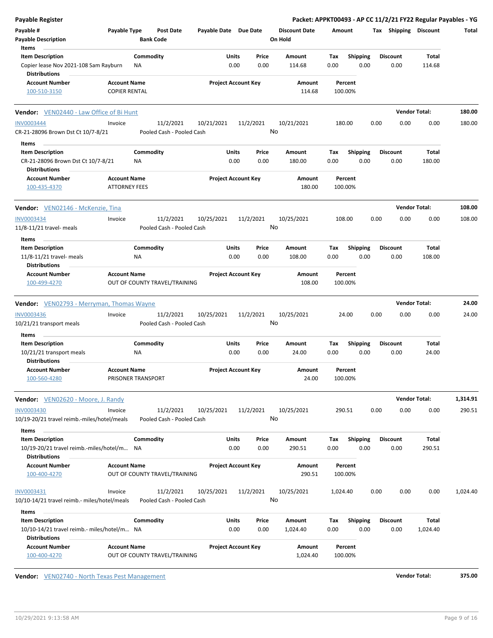| Payable #<br><b>Discount Date</b><br>Payable Type<br>Post Date<br>Payable Date Due Date<br>Tax Shipping Discount<br>Amount<br><b>Payable Description</b><br><b>Bank Code</b><br>On Hold<br>Items<br><b>Item Description</b><br>Commodity<br>Units<br>Price<br><b>Shipping</b><br>Amount<br>Tax<br><b>Discount</b><br>0.00<br>0.00<br>Copier lease Nov 2021-108 Sam Rayburn<br>NA<br>0.00<br>114.68<br>0.00<br>0.00<br>114.68<br><b>Distributions</b> | Total            |
|------------------------------------------------------------------------------------------------------------------------------------------------------------------------------------------------------------------------------------------------------------------------------------------------------------------------------------------------------------------------------------------------------------------------------------------------------|------------------|
|                                                                                                                                                                                                                                                                                                                                                                                                                                                      |                  |
|                                                                                                                                                                                                                                                                                                                                                                                                                                                      |                  |
|                                                                                                                                                                                                                                                                                                                                                                                                                                                      |                  |
|                                                                                                                                                                                                                                                                                                                                                                                                                                                      | Total            |
|                                                                                                                                                                                                                                                                                                                                                                                                                                                      |                  |
| <b>Account Number</b><br><b>Project Account Key</b><br><b>Account Name</b><br>Amount<br>Percent                                                                                                                                                                                                                                                                                                                                                      |                  |
| <b>COPIER RENTAL</b><br>114.68<br>100.00%<br>100-510-3150                                                                                                                                                                                                                                                                                                                                                                                            |                  |
| <b>Vendor Total:</b><br>Vendor: VEN02440 - Law Office of Bi Hunt                                                                                                                                                                                                                                                                                                                                                                                     | 180.00           |
| <b>INV0003444</b><br>11/2/2021<br>10/21/2021<br>11/2/2021<br>10/21/2021<br>180.00<br>0.00<br>0.00<br>Invoice                                                                                                                                                                                                                                                                                                                                         | 0.00<br>180.00   |
| No<br>CR-21-28096 Brown Dst Ct 10/7-8/21<br>Pooled Cash - Pooled Cash                                                                                                                                                                                                                                                                                                                                                                                |                  |
| Items                                                                                                                                                                                                                                                                                                                                                                                                                                                |                  |
| Commodity<br>Units<br><b>Shipping</b><br><b>Discount</b><br><b>Item Description</b><br>Price<br>Amount<br>Тах<br>0.00<br>CR-21-28096 Brown Dst Ct 10/7-8/21<br>0.00<br>0.00<br>180.00<br>0.00<br>0.00<br>180.00<br>NA.<br><b>Distributions</b>                                                                                                                                                                                                       | Total            |
| <b>Project Account Key</b><br><b>Account Number</b><br><b>Account Name</b><br>Amount<br>Percent                                                                                                                                                                                                                                                                                                                                                      |                  |
| <b>ATTORNEY FEES</b><br>180.00<br>100.00%<br>100-435-4370                                                                                                                                                                                                                                                                                                                                                                                            |                  |
| <b>Vendor Total:</b><br>Vendor: VEN02146 - McKenzie, Tina                                                                                                                                                                                                                                                                                                                                                                                            | 108.00           |
| <b>INV0003434</b><br>11/2/2021<br>10/25/2021<br>11/2/2021<br>10/25/2021<br>108.00<br>0.00<br>0.00<br>Invoice                                                                                                                                                                                                                                                                                                                                         | 0.00<br>108.00   |
| No<br>11/8-11/21 travel- meals<br>Pooled Cash - Pooled Cash                                                                                                                                                                                                                                                                                                                                                                                          |                  |
| Items                                                                                                                                                                                                                                                                                                                                                                                                                                                |                  |
| Commodity<br>Units<br><b>Shipping</b><br><b>Item Description</b><br>Price<br>Amount<br>Tax<br><b>Discount</b>                                                                                                                                                                                                                                                                                                                                        | Total            |
| 0.00<br>11/8-11/21 travel- meals<br>0.00<br>0.00<br>108.00<br>0.00<br>0.00<br>108.00<br>ΝA<br><b>Distributions</b>                                                                                                                                                                                                                                                                                                                                   |                  |
| <b>Account Number</b><br><b>Project Account Key</b><br><b>Account Name</b><br>Amount<br>Percent                                                                                                                                                                                                                                                                                                                                                      |                  |
| 100-499-4270<br>OUT OF COUNTY TRAVEL/TRAINING<br>108.00<br>100.00%                                                                                                                                                                                                                                                                                                                                                                                   |                  |
| <b>Vendor Total:</b><br>Vendor: VEN02793 - Merryman, Thomas Wayne                                                                                                                                                                                                                                                                                                                                                                                    | 24.00            |
| 11/2/2021<br><b>INV0003436</b><br>10/25/2021<br>11/2/2021<br>10/25/2021<br>0.00<br>0.00<br>Invoice<br>24.00                                                                                                                                                                                                                                                                                                                                          | 0.00<br>24.00    |
| No<br>10/21/21 transport meals<br>Pooled Cash - Pooled Cash                                                                                                                                                                                                                                                                                                                                                                                          |                  |
|                                                                                                                                                                                                                                                                                                                                                                                                                                                      |                  |
| Items                                                                                                                                                                                                                                                                                                                                                                                                                                                |                  |
| Commodity<br>Units<br><b>Item Description</b><br>Price<br>Amount<br><b>Shipping</b><br><b>Discount</b><br>Тах                                                                                                                                                                                                                                                                                                                                        | Total            |
| 0.00<br>0.00<br>24.00<br>0.00<br>0.00<br>0.00<br>24.00<br>10/21/21 transport meals<br>NA<br><b>Distributions</b>                                                                                                                                                                                                                                                                                                                                     |                  |
| <b>Project Account Key</b><br>Account Number<br><b>Account Name</b><br>Amount<br>Percent                                                                                                                                                                                                                                                                                                                                                             |                  |
| 100-560-4280<br>PRISONER TRANSPORT<br>24.00<br>100.00%                                                                                                                                                                                                                                                                                                                                                                                               |                  |
| <b>Vendor Total:</b><br>Vendor: VEN02620 - Moore, J. Randy                                                                                                                                                                                                                                                                                                                                                                                           | 1,314.91         |
| 0.00<br>0.00<br><b>INV0003430</b><br>11/2/2021<br>10/25/2021<br>11/2/2021<br>10/25/2021<br>290.51<br>Invoice                                                                                                                                                                                                                                                                                                                                         | 0.00<br>290.51   |
| No<br>10/19-20/21 travel reimb.-miles/hotel/meals<br>Pooled Cash - Pooled Cash<br>Items                                                                                                                                                                                                                                                                                                                                                              |                  |
| <b>Item Description</b><br>Commodity<br>Units<br>Price<br>Amount<br>Tax<br><b>Shipping</b><br><b>Discount</b>                                                                                                                                                                                                                                                                                                                                        | Total            |
| 10/19-20/21 travel reimb.-miles/hotel/m<br>0.00<br>0.00<br>290.51<br>0.00<br>0.00<br>0.00<br>290.51<br>NA<br><b>Distributions</b>                                                                                                                                                                                                                                                                                                                    |                  |
| <b>Account Name</b><br><b>Project Account Key</b><br><b>Account Number</b><br>Amount<br>Percent<br>OUT OF COUNTY TRAVEL/TRAINING<br>290.51<br>100-400-4270<br>100.00%                                                                                                                                                                                                                                                                                |                  |
| INV0003431<br>11/2/2021<br>10/25/2021<br>11/2/2021<br>10/25/2021<br>0.00<br>0.00<br>Invoice<br>1,024.40                                                                                                                                                                                                                                                                                                                                              | 0.00<br>1,024.40 |
| No<br>10/10-14/21 travel reimb.- miles/hotel/meals<br>Pooled Cash - Pooled Cash                                                                                                                                                                                                                                                                                                                                                                      |                  |
| Items                                                                                                                                                                                                                                                                                                                                                                                                                                                |                  |
| <b>Item Description</b><br>Commodity<br>Units<br>Amount<br><b>Shipping</b><br><b>Discount</b><br>Price<br>Tax                                                                                                                                                                                                                                                                                                                                        | Total            |
| 0.00<br>0.00<br>0.00<br>10/10-14/21 travel reimb.- miles/hotel/m NA<br>1,024.40<br>0.00<br>0.00<br>1,024.40<br><b>Distributions</b>                                                                                                                                                                                                                                                                                                                  |                  |
| <b>Account Number</b><br><b>Account Name</b><br><b>Project Account Key</b><br>Amount<br>Percent<br>OUT OF COUNTY TRAVEL/TRAINING<br>100-400-4270<br>1,024.40<br>100.00%                                                                                                                                                                                                                                                                              |                  |

**Vendor:** VEN02740 - North Texas Pest Management **Vendor Total: 375.00**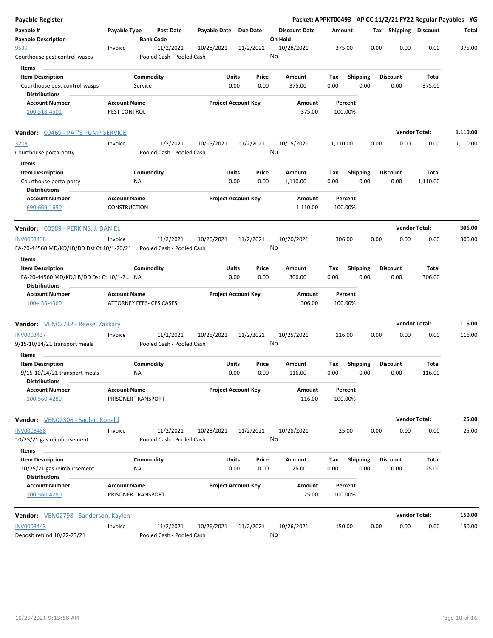| Payable Register                                                              |                                                 |                  |                                        |                            |               |               |                                 |                    |                         |      |                         | Packet: APPKT00493 - AP CC 11/2/21 FY22 Regular Payables - YG |          |
|-------------------------------------------------------------------------------|-------------------------------------------------|------------------|----------------------------------------|----------------------------|---------------|---------------|---------------------------------|--------------------|-------------------------|------|-------------------------|---------------------------------------------------------------|----------|
| Payable #<br><b>Payable Description</b>                                       | Payable Type                                    | <b>Bank Code</b> | <b>Post Date</b>                       | Payable Date               |               | Due Date      | <b>Discount Date</b><br>On Hold | Amount             |                         |      | Tax Shipping Discount   |                                                               | Total    |
| 9539<br>Courthouse pest control-wasps                                         | Invoice                                         |                  | 11/2/2021<br>Pooled Cash - Pooled Cash | 10/28/2021                 |               | 11/2/2021     | 10/28/2021<br>No                | 375.00             |                         | 0.00 | 0.00                    | 0.00                                                          | 375.00   |
| Items                                                                         |                                                 |                  |                                        |                            |               |               |                                 |                    |                         |      |                         |                                                               |          |
| <b>Item Description</b>                                                       |                                                 | Commodity        |                                        |                            | Units         | Price         | Amount                          | Tax                | Shipping                |      | <b>Discount</b>         | Total                                                         |          |
| Courthouse pest control-wasps<br><b>Distributions</b>                         |                                                 | Service          |                                        |                            | 0.00          | 0.00          | 375.00                          | 0.00               | 0.00                    |      | 0.00                    | 375.00                                                        |          |
| <b>Account Number</b><br>100-518-4501                                         | <b>Account Name</b><br>PEST CONTROL             |                  |                                        | <b>Project Account Key</b> |               |               | Amount<br>375.00                | Percent<br>100.00% |                         |      |                         |                                                               |          |
| <b>Vendor:</b> 00469 - PAT'S PUMP SERVICE                                     |                                                 |                  |                                        |                            |               |               |                                 |                    |                         |      |                         | <b>Vendor Total:</b>                                          | 1,110.00 |
| 3203                                                                          | Invoice                                         |                  | 11/2/2021                              | 10/15/2021                 |               | 11/2/2021     | 10/15/2021                      | 1,110.00           |                         | 0.00 | 0.00                    | 0.00                                                          | 1,110.00 |
| Courthouse porta-potty<br>Items                                               |                                                 |                  | Pooled Cash - Pooled Cash              |                            |               |               | No                              |                    |                         |      |                         |                                                               |          |
| <b>Item Description</b>                                                       |                                                 | Commodity        |                                        |                            | Units         | Price         | Amount                          | Tax                | <b>Shipping</b>         |      | <b>Discount</b>         | Total                                                         |          |
| Courthouse porta-potty<br><b>Distributions</b>                                |                                                 | NA               |                                        |                            | 0.00          | 0.00          | 1,110.00                        | 0.00               | 0.00                    |      | 0.00                    | 1,110.00                                                      |          |
| <b>Account Number</b><br>690-669-1650                                         | <b>Account Name</b><br><b>CONSTRUCTION</b>      |                  |                                        | <b>Project Account Key</b> |               |               | Amount<br>1,110.00              | Percent<br>100.00% |                         |      |                         |                                                               |          |
| <b>Vendor:</b> 00589 - PERKINS, J. DANIEL                                     |                                                 |                  |                                        |                            |               |               |                                 |                    |                         |      |                         | <b>Vendor Total:</b>                                          | 306.00   |
| <b>INV0003438</b>                                                             | Invoice                                         |                  | 11/2/2021                              | 10/20/2021                 |               | 11/2/2021     | 10/20/2021                      | 306.00             |                         | 0.00 | 0.00                    | 0.00                                                          | 306.00   |
| FA-20-44560 MD/KD/LB/DD Dst Ct 10/1-20/21                                     |                                                 |                  | Pooled Cash - Pooled Cash              |                            |               |               | No                              |                    |                         |      |                         |                                                               |          |
| Items<br><b>Item Description</b><br>FA-20-44560 MD/KD/LB/DD Dst Ct 10/1-2 NA  |                                                 | Commodity        |                                        |                            | Units<br>0.00 | Price<br>0.00 | Amount<br>306.00                | Tax<br>0.00        | <b>Shipping</b><br>0.00 |      | <b>Discount</b><br>0.00 | Total<br>306.00                                               |          |
| <b>Distributions</b>                                                          |                                                 |                  |                                        |                            |               |               |                                 |                    |                         |      |                         |                                                               |          |
| <b>Account Number</b><br>100-435-4360                                         | <b>Account Name</b><br>ATTORNEY FEES- CPS CASES |                  |                                        | <b>Project Account Key</b> |               |               | Amount<br>306.00                | Percent<br>100.00% |                         |      |                         |                                                               |          |
| Vendor: VEN02732 - Reese, Zakkary                                             |                                                 |                  |                                        |                            |               |               |                                 |                    |                         |      |                         | <b>Vendor Total:</b>                                          | 116.00   |
| INV0003437<br>9/15-10/14/21 transport meals                                   | Invoice                                         |                  | 11/2/2021<br>Pooled Cash - Pooled Cash | 10/25/2021                 |               | 11/2/2021     | 10/25/2021<br>No                | 116.00             |                         | 0.00 | 0.00                    | 0.00                                                          | 116.00   |
| Items<br><b>Item Description</b>                                              |                                                 | Commodity        |                                        |                            | Units         | Price         | <b>Amount</b>                   | Tax                | <b>Shipping</b>         |      | <b>Discount</b>         | Total                                                         |          |
| 9/15-10/14/21 transport meals<br><b>Distributions</b>                         |                                                 | ΝA               |                                        |                            | 0.00          | 0.00          | 116.00                          | 0.00               | 0.00                    |      | 0.00                    | 116.00                                                        |          |
| <b>Account Number</b><br>100-560-4280                                         | <b>Account Name</b><br>PRISONER TRANSPORT       |                  |                                        | <b>Project Account Key</b> |               |               | Amount<br>116.00                | Percent<br>100.00% |                         |      |                         |                                                               |          |
| Vendor: VEN02306 - Sadler, Ronald                                             |                                                 |                  |                                        |                            |               |               |                                 |                    |                         |      |                         | <b>Vendor Total:</b>                                          | 25.00    |
| <b>INV0003488</b><br>10/25/21 gas reimbursement                               | Invoice                                         |                  | 11/2/2021<br>Pooled Cash - Pooled Cash | 10/28/2021                 |               | 11/2/2021     | 10/28/2021<br>No                | 25.00              |                         | 0.00 | 0.00                    | 0.00                                                          | 25.00    |
| Items                                                                         |                                                 |                  |                                        |                            |               |               |                                 |                    |                         |      |                         |                                                               |          |
| <b>Item Description</b><br>10/25/21 gas reimbursement<br><b>Distributions</b> |                                                 | Commodity<br>ΝA  |                                        |                            | Units<br>0.00 | Price<br>0.00 | Amount<br>25.00                 | Tax<br>0.00        | <b>Shipping</b><br>0.00 |      | <b>Discount</b><br>0.00 | Total<br>25.00                                                |          |
| <b>Account Number</b><br>100-560-4280                                         | <b>Account Name</b><br>PRISONER TRANSPORT       |                  |                                        | <b>Project Account Key</b> |               |               | Amount<br>25.00                 | Percent<br>100.00% |                         |      |                         |                                                               |          |
| Vendor: VEN02798 - Sanderson, Kaylen                                          |                                                 |                  |                                        |                            |               |               |                                 |                    |                         |      |                         | <b>Vendor Total:</b>                                          | 150.00   |
| <b>INV0003443</b><br>Deposit refund 10/22-23/21                               | Invoice                                         |                  | 11/2/2021<br>Pooled Cash - Pooled Cash | 10/26/2021                 |               | 11/2/2021     | 10/26/2021<br>No                | 150.00             |                         | 0.00 | 0.00                    | 0.00                                                          | 150.00   |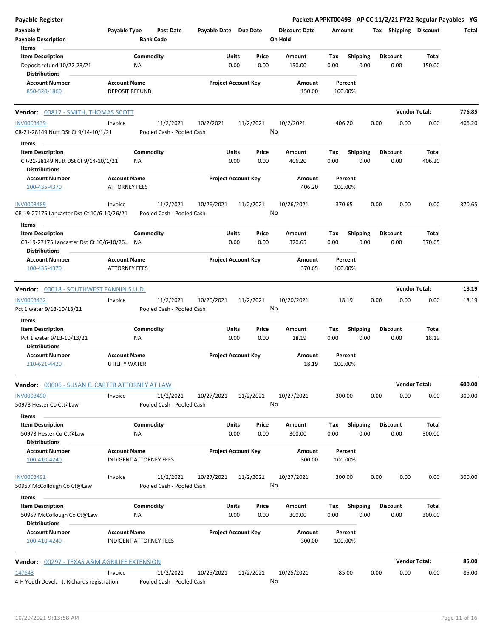| Payable Register                                                |                                                      |                                      |                       |                            |                                 |                    |                         | Packet: APPKT00493 - AP CC 11/2/21 FY22 Regular Payables - YG |                      |        |
|-----------------------------------------------------------------|------------------------------------------------------|--------------------------------------|-----------------------|----------------------------|---------------------------------|--------------------|-------------------------|---------------------------------------------------------------|----------------------|--------|
| Payable #<br><b>Payable Description</b>                         | Payable Type                                         | <b>Post Date</b><br><b>Bank Code</b> | Payable Date Due Date |                            | <b>Discount Date</b><br>On Hold | Amount             |                         | Tax Shipping Discount                                         |                      | Total  |
| Items<br><b>Item Description</b>                                | Commodity                                            |                                      | Units                 | Price                      | Amount                          | Tax                |                         | <b>Discount</b>                                               | Total                |        |
| Deposit refund 10/22-23/21<br><b>Distributions</b>              | NA                                                   |                                      |                       | 0.00<br>0.00               | 150.00                          | 0.00               | <b>Shipping</b><br>0.00 | 0.00                                                          | 150.00               |        |
| <b>Account Number</b><br>850-520-1860                           | <b>Account Name</b><br><b>DEPOSIT REFUND</b>         |                                      |                       | <b>Project Account Key</b> | Amount<br>150.00                | Percent<br>100.00% |                         |                                                               |                      |        |
| Vendor: 00817 - SMITH, THOMAS SCOTT                             |                                                      |                                      |                       |                            |                                 |                    |                         |                                                               | <b>Vendor Total:</b> | 776.85 |
| <b>INV0003439</b>                                               | Invoice                                              | 11/2/2021                            | 10/2/2021             | 11/2/2021                  | 10/2/2021                       | 406.20             |                         | 0.00<br>0.00                                                  | 0.00                 | 406.20 |
| CR-21-28149 Nutt DSt Ct 9/14-10/1/21                            |                                                      | Pooled Cash - Pooled Cash            |                       |                            | No                              |                    |                         |                                                               |                      |        |
| Items                                                           |                                                      |                                      |                       |                            |                                 |                    |                         |                                                               |                      |        |
| <b>Item Description</b><br>CR-21-28149 Nutt DSt Ct 9/14-10/1/21 | Commodity<br>NA                                      |                                      | Units                 | Price<br>0.00<br>0.00      | Amount<br>406.20                | Tax<br>0.00        | <b>Shipping</b><br>0.00 | <b>Discount</b><br>0.00                                       | Total<br>406.20      |        |
| <b>Distributions</b>                                            |                                                      |                                      |                       |                            |                                 |                    |                         |                                                               |                      |        |
| <b>Account Number</b>                                           | <b>Account Name</b>                                  |                                      |                       | <b>Project Account Key</b> | Amount                          | Percent            |                         |                                                               |                      |        |
| 100-435-4370                                                    | <b>ATTORNEY FEES</b>                                 |                                      |                       |                            | 406.20                          | 100.00%            |                         |                                                               |                      |        |
| <b>INV0003489</b>                                               | Invoice                                              | 11/2/2021                            | 10/26/2021            | 11/2/2021                  | 10/26/2021                      | 370.65             |                         | 0.00<br>0.00                                                  | 0.00                 | 370.65 |
| CR-19-27175 Lancaster Dst Ct 10/6-10/26/21                      |                                                      | Pooled Cash - Pooled Cash            |                       |                            | No                              |                    |                         |                                                               |                      |        |
| Items<br><b>Item Description</b>                                | Commodity                                            |                                      |                       | Units<br>Price             | Amount                          | Tax                | Shipping                | <b>Discount</b>                                               | Total                |        |
| CR-19-27175 Lancaster Dst Ct 10/6-10/26 NA                      |                                                      |                                      |                       | 0.00<br>0.00               | 370.65                          | 0.00               | 0.00                    | 0.00                                                          | 370.65               |        |
| <b>Distributions</b><br><b>Account Number</b>                   | <b>Account Name</b>                                  |                                      |                       | <b>Project Account Key</b> | Amount                          | Percent            |                         |                                                               |                      |        |
| 100-435-4370                                                    | <b>ATTORNEY FEES</b>                                 |                                      |                       |                            | 370.65                          | 100.00%            |                         |                                                               |                      |        |
| Vendor: 00018 - SOUTHWEST FANNIN S.U.D.                         |                                                      |                                      |                       |                            |                                 |                    |                         |                                                               | <b>Vendor Total:</b> | 18.19  |
| <b>INV0003432</b>                                               | Invoice                                              | 11/2/2021                            | 10/20/2021            | 11/2/2021                  | 10/20/2021                      | 18.19              |                         | 0.00<br>0.00                                                  | 0.00                 | 18.19  |
| Pct 1 water 9/13-10/13/21                                       |                                                      | Pooled Cash - Pooled Cash            |                       |                            | No                              |                    |                         |                                                               |                      |        |
| Items                                                           |                                                      |                                      |                       |                            |                                 |                    |                         |                                                               |                      |        |
| <b>Item Description</b>                                         | Commodity                                            |                                      | Units                 | Price                      | Amount                          | Tax                | Shipping                | <b>Discount</b>                                               | Total                |        |
| Pct 1 water 9/13-10/13/21<br><b>Distributions</b>               | ΝA                                                   |                                      |                       | 0.00<br>0.00               | 18.19                           | 0.00               | 0.00                    | 0.00                                                          | 18.19                |        |
| <b>Account Number</b>                                           | <b>Account Name</b>                                  |                                      |                       | <b>Project Account Key</b> | Amount                          | Percent            |                         |                                                               |                      |        |
| 210-621-4420                                                    | UTILITY WATER                                        |                                      |                       |                            | 18.19                           | 100.00%            |                         |                                                               |                      |        |
| <b>Vendor:</b> 00606 - SUSAN E. CARTER ATTORNEY AT LAW          |                                                      |                                      |                       |                            |                                 |                    |                         |                                                               | <b>Vendor Total:</b> | 600.00 |
| <b>INV0003490</b>                                               | Invoice                                              | 11/2/2021                            | 10/27/2021            | 11/2/2021                  | 10/27/2021                      | 300.00             |                         | 0.00<br>0.00                                                  | 0.00                 | 300.00 |
| 50973 Hester Co Ct@Law                                          |                                                      | Pooled Cash - Pooled Cash            |                       |                            | No                              |                    |                         |                                                               |                      |        |
| Items<br><b>Item Description</b>                                | Commodity                                            |                                      | Units                 | Price                      | Amount                          | Tax                | Shipping                | <b>Discount</b>                                               | Total                |        |
| 50973 Hester Co Ct@Law<br>Distributions                         | ΝA                                                   |                                      |                       | 0.00<br>0.00               | 300.00                          | 0.00               | 0.00                    | 0.00                                                          | 300.00               |        |
| <b>Account Number</b><br>100-410-4240                           | <b>Account Name</b><br><b>INDIGENT ATTORNEY FEES</b> |                                      |                       | <b>Project Account Key</b> | Amount<br>300.00                | Percent<br>100.00% |                         |                                                               |                      |        |
| INV0003491                                                      | Invoice                                              | 11/2/2021                            | 10/27/2021            | 11/2/2021                  | 10/27/2021                      | 300.00             |                         | 0.00<br>0.00                                                  | 0.00                 | 300.00 |
| 50957 McCollough Co Ct@Law                                      |                                                      | Pooled Cash - Pooled Cash            |                       |                            | No                              |                    |                         |                                                               |                      |        |
| Items<br><b>Item Description</b>                                | Commodity                                            |                                      | Units                 |                            |                                 |                    |                         | <b>Discount</b>                                               | Total                |        |
| 50957 McCollough Co Ct@Law                                      | NA                                                   |                                      |                       | Price<br>0.00<br>0.00      | Amount<br>300.00                | Tax<br>0.00        | <b>Shipping</b><br>0.00 | 0.00                                                          | 300.00               |        |
| <b>Distributions</b><br><b>Account Number</b><br>100-410-4240   | <b>Account Name</b><br><b>INDIGENT ATTORNEY FEES</b> |                                      |                       | <b>Project Account Key</b> | Amount<br>300.00                | Percent<br>100.00% |                         |                                                               |                      |        |
| <b>Vendor: 00297 - TEXAS A&amp;M AGRILIFE EXTENSION</b>         |                                                      |                                      |                       |                            |                                 |                    |                         |                                                               | <b>Vendor Total:</b> | 85.00  |
| 147643                                                          | Invoice                                              | 11/2/2021                            | 10/25/2021            | 11/2/2021                  | 10/25/2021                      | 85.00              |                         | 0.00<br>0.00                                                  | 0.00                 | 85.00  |
| 4-H Youth Devel. - J. Richards registration                     |                                                      | Pooled Cash - Pooled Cash            |                       |                            | No                              |                    |                         |                                                               |                      |        |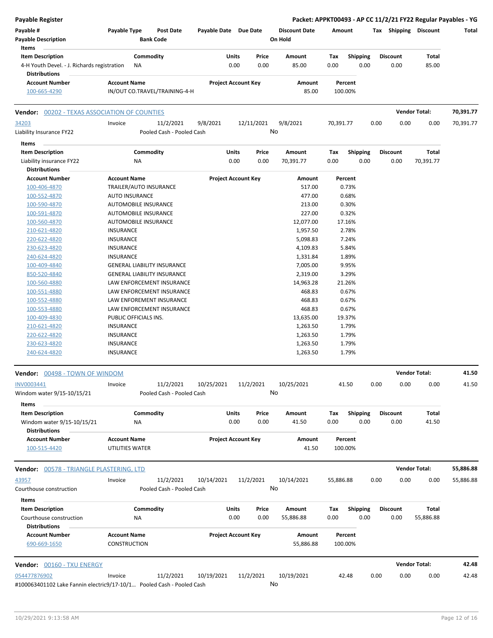| Payable Register                                                                               |                                                                       |                            |               |                                 |             |                         |                 |      |                       | Packet: APPKT00493 - AP CC 11/2/21 FY22 Regular Payables - YG |
|------------------------------------------------------------------------------------------------|-----------------------------------------------------------------------|----------------------------|---------------|---------------------------------|-------------|-------------------------|-----------------|------|-----------------------|---------------------------------------------------------------|
| Payable #<br><b>Payable Description</b><br>Items                                               | Payable Type<br><b>Post Date</b><br><b>Bank Code</b>                  | Payable Date Due Date      |               | <b>Discount Date</b><br>On Hold | Amount      |                         |                 |      | Tax Shipping Discount | Total                                                         |
| <b>Item Description</b><br>4-H Youth Devel. - J. Richards registration<br><b>Distributions</b> | Commodity<br><b>NA</b>                                                | Units<br>0.00              | Price<br>0.00 | Amount<br>85.00                 | Tax<br>0.00 | <b>Shipping</b><br>0.00 | <b>Discount</b> | 0.00 | Total<br>85.00        |                                                               |
| <b>Account Number</b>                                                                          | <b>Account Name</b>                                                   | <b>Project Account Key</b> |               | Amount                          | Percent     |                         |                 |      |                       |                                                               |
| 100-665-4290                                                                                   | IN/OUT CO.TRAVEL/TRAINING-4-H                                         |                            |               | 85.00                           | 100.00%     |                         |                 |      |                       |                                                               |
| <b>Vendor: 00202 - TEXAS ASSOCIATION OF COUNTIES</b>                                           |                                                                       |                            |               |                                 |             |                         |                 |      | <b>Vendor Total:</b>  | 70,391.77                                                     |
| 34203<br>Liability Insurance FY22                                                              | 11/2/2021<br>Invoice<br>Pooled Cash - Pooled Cash                     | 9/8/2021                   | 12/11/2021    | 9/8/2021<br>No                  | 70,391.77   |                         | 0.00            | 0.00 | 0.00                  | 70,391.77                                                     |
| Items                                                                                          |                                                                       |                            |               |                                 |             |                         |                 |      |                       |                                                               |
| <b>Item Description</b>                                                                        | Commodity                                                             | Units                      | Price         | Amount                          | Tax         | <b>Shipping</b>         | <b>Discount</b> |      | Total                 |                                                               |
| Liability insurance FY22                                                                       | ΝA                                                                    | 0.00                       | 0.00          | 70,391.77                       | 0.00        | 0.00                    |                 | 0.00 | 70,391.77             |                                                               |
| <b>Distributions</b><br><b>Account Number</b>                                                  | <b>Account Name</b>                                                   | <b>Project Account Key</b> |               | Amount                          | Percent     |                         |                 |      |                       |                                                               |
| 100-406-4870                                                                                   | TRAILER/AUTO INSURANCE                                                |                            |               | 517.00                          |             | 0.73%                   |                 |      |                       |                                                               |
| 100-552-4870                                                                                   | <b>AUTO INSURANCE</b>                                                 |                            |               | 477.00                          |             | 0.68%                   |                 |      |                       |                                                               |
| 100-590-4870                                                                                   | <b>AUTOMOBILE INSURANCE</b>                                           |                            |               | 213.00                          |             | 0.30%                   |                 |      |                       |                                                               |
| 100-591-4870                                                                                   | AUTOMOBILE INSURANCE                                                  |                            |               | 227.00                          |             | 0.32%                   |                 |      |                       |                                                               |
| 100-560-4870                                                                                   | AUTOMOBILE INSURANCE                                                  |                            |               | 12,077.00                       | 17.16%      |                         |                 |      |                       |                                                               |
| 210-621-4820                                                                                   | <b>INSURANCE</b>                                                      |                            |               | 1,957.50                        |             | 2.78%                   |                 |      |                       |                                                               |
| 220-622-4820                                                                                   | <b>INSURANCE</b>                                                      |                            |               | 5,098.83                        |             | 7.24%                   |                 |      |                       |                                                               |
| 230-623-4820                                                                                   | INSURANCE                                                             |                            |               | 4,109.83                        |             | 5.84%                   |                 |      |                       |                                                               |
| 240-624-4820                                                                                   | <b>INSURANCE</b>                                                      |                            |               | 1,331.84                        |             | 1.89%                   |                 |      |                       |                                                               |
| 100-409-4840                                                                                   | <b>GENERAL LIABILITY INSURANCE</b>                                    |                            |               | 7,005.00                        |             | 9.95%                   |                 |      |                       |                                                               |
| 850-520-4840                                                                                   | <b>GENERAL LIABILITY INSURANCE</b>                                    |                            |               | 2,319.00                        |             | 3.29%                   |                 |      |                       |                                                               |
| 100-560-4880                                                                                   | LAW ENFORCEMENT INSURANCE                                             |                            |               | 14,963.28                       | 21.26%      |                         |                 |      |                       |                                                               |
| 100-551-4880                                                                                   | LAW ENFORCEMENT INSURANCE                                             |                            |               | 468.83                          |             | 0.67%                   |                 |      |                       |                                                               |
| 100-552-4880                                                                                   | LAW ENFOREMENT INSURANCE                                              |                            |               | 468.83                          |             | 0.67%                   |                 |      |                       |                                                               |
| 100-553-4880                                                                                   | LAW ENFORCEMENT INSURANCE                                             |                            |               | 468.83                          |             | 0.67%                   |                 |      |                       |                                                               |
| 100-409-4830                                                                                   | PUBLIC OFFICIALS INS.                                                 |                            |               | 13,635.00                       | 19.37%      |                         |                 |      |                       |                                                               |
| 210-621-4820                                                                                   | <b>INSURANCE</b>                                                      |                            |               | 1,263.50                        |             | 1.79%                   |                 |      |                       |                                                               |
| 220-622-4820                                                                                   | INSURANCE                                                             |                            |               | 1,263.50                        |             | 1.79%                   |                 |      |                       |                                                               |
| 230-623-4820<br>240-624-4820                                                                   | <b>INSURANCE</b><br><b>INSURANCE</b>                                  |                            |               | 1,263.50<br>1,263.50            |             | 1.79%<br>1.79%          |                 |      |                       |                                                               |
| Vendor: 00498 - TOWN OF WINDOM                                                                 |                                                                       |                            |               |                                 |             |                         |                 |      | <b>Vendor Total:</b>  | 41.50                                                         |
| INV0003441                                                                                     | Invoice<br>11/2/2021                                                  | 10/25/2021                 | 11/2/2021     | 10/25/2021                      | 41.50       |                         | 0.00            | 0.00 | 0.00                  | 41.50                                                         |
| Windom water 9/15-10/15/21                                                                     | Pooled Cash - Pooled Cash                                             |                            |               | No                              |             |                         |                 |      |                       |                                                               |
| Items                                                                                          |                                                                       |                            |               |                                 |             |                         |                 |      |                       |                                                               |
| <b>Item Description</b><br>Windom water 9/15-10/15/21<br><b>Distributions</b>                  | Commodity<br>ΝA                                                       | Units<br>0.00              | Price<br>0.00 | Amount<br>41.50                 | Тах<br>0.00 | <b>Shipping</b><br>0.00 | <b>Discount</b> | 0.00 | Total<br>41.50        |                                                               |
| <b>Account Number</b>                                                                          | <b>Account Name</b>                                                   | <b>Project Account Key</b> |               | Amount                          | Percent     |                         |                 |      |                       |                                                               |
| 100-515-4420                                                                                   | UTILITIES WATER                                                       |                            |               | 41.50                           | 100.00%     |                         |                 |      |                       |                                                               |
| <b>Vendor:</b> 00578 - TRIANGLE PLASTERING, LTD                                                |                                                                       |                            |               |                                 |             |                         |                 |      | <b>Vendor Total:</b>  | 55,886.88                                                     |
| 43957                                                                                          | 11/2/2021<br>Invoice                                                  | 10/14/2021                 | 11/2/2021     | 10/14/2021                      | 55,886.88   |                         | 0.00            | 0.00 | 0.00                  | 55,886.88                                                     |
| Courthouse construction<br>Items                                                               | Pooled Cash - Pooled Cash                                             |                            |               | No                              |             |                         |                 |      |                       |                                                               |
| <b>Item Description</b>                                                                        | Commodity                                                             | Units                      | Price         | Amount                          | Tax         | <b>Shipping</b>         | Discount        |      | Total                 |                                                               |
| Courthouse construction<br><b>Distributions</b>                                                | ΝA                                                                    | 0.00                       | 0.00          | 55,886.88                       | 0.00        | 0.00                    |                 | 0.00 | 55,886.88             |                                                               |
| <b>Account Number</b>                                                                          | <b>Account Name</b>                                                   | <b>Project Account Key</b> |               | Amount                          | Percent     |                         |                 |      |                       |                                                               |
| 690-669-1650                                                                                   | <b>CONSTRUCTION</b>                                                   |                            |               | 55,886.88                       | 100.00%     |                         |                 |      |                       |                                                               |
| Vendor: 00160 - TXU ENERGY                                                                     |                                                                       |                            |               |                                 |             |                         |                 |      | <b>Vendor Total:</b>  | 42.48                                                         |
| 054477876902                                                                                   | 11/2/2021<br>Invoice                                                  | 10/19/2021                 | 11/2/2021     | 10/19/2021                      | 42.48       |                         | 0.00            | 0.00 | 0.00                  | 42.48                                                         |
|                                                                                                | #100063401102 Lake Fannin electric9/17-10/1 Pooled Cash - Pooled Cash |                            |               | No                              |             |                         |                 |      |                       |                                                               |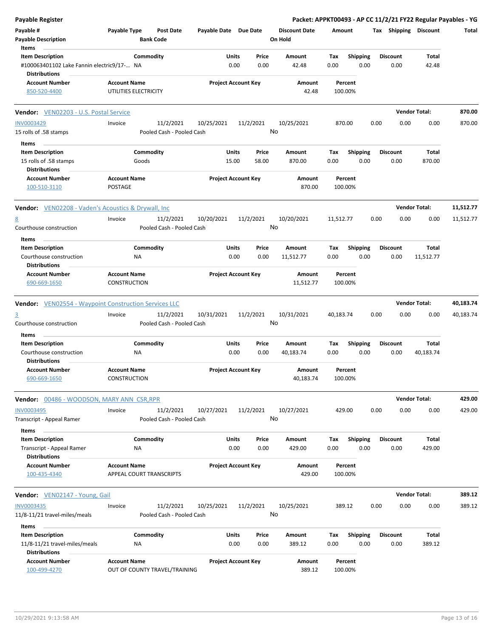| <b>Payable Register</b>                                      |                                                      |                                      |                       |                            |                                 |           |                    |      |                 |                       | Packet: APPKT00493 - AP CC 11/2/21 FY22 Regular Payables - YG |
|--------------------------------------------------------------|------------------------------------------------------|--------------------------------------|-----------------------|----------------------------|---------------------------------|-----------|--------------------|------|-----------------|-----------------------|---------------------------------------------------------------|
| Payable #<br><b>Payable Description</b>                      | Payable Type                                         | <b>Post Date</b><br><b>Bank Code</b> | Payable Date Due Date |                            | <b>Discount Date</b><br>On Hold | Amount    |                    |      |                 | Tax Shipping Discount | Total                                                         |
| Items                                                        |                                                      |                                      |                       |                            |                                 |           |                    |      |                 |                       |                                                               |
| <b>Item Description</b>                                      | Commodity                                            |                                      | Units                 | Price                      | Amount                          | Tax       | <b>Shipping</b>    |      | <b>Discount</b> | Total                 |                                                               |
| #100063401102 Lake Fannin electric9/17- NA                   |                                                      |                                      |                       | 0.00<br>0.00               | 42.48                           | 0.00      | 0.00               |      | 0.00            | 42.48                 |                                                               |
| <b>Distributions</b>                                         |                                                      |                                      |                       |                            |                                 |           |                    |      |                 |                       |                                                               |
| <b>Account Number</b><br>850-520-4400                        | <b>Account Name</b><br>UTILITIES ELECTRICITY         |                                      |                       | <b>Project Account Key</b> | Amount<br>42.48                 |           | Percent<br>100.00% |      |                 |                       |                                                               |
|                                                              |                                                      |                                      |                       |                            |                                 |           |                    |      |                 |                       |                                                               |
| Vendor: VEN02203 - U.S. Postal Service                       |                                                      |                                      |                       |                            |                                 |           |                    |      |                 | <b>Vendor Total:</b>  | 870.00                                                        |
| <b>INV0003429</b>                                            | Invoice                                              | 11/2/2021                            | 10/25/2021            | 11/2/2021                  | 10/25/2021<br>No                | 870.00    |                    | 0.00 | 0.00            | 0.00                  | 870.00                                                        |
| 15 rolls of .58 stamps                                       |                                                      | Pooled Cash - Pooled Cash            |                       |                            |                                 |           |                    |      |                 |                       |                                                               |
| Items                                                        |                                                      |                                      |                       |                            |                                 |           |                    |      |                 |                       |                                                               |
| <b>Item Description</b>                                      | Commodity                                            |                                      | Units                 | Price                      | Amount                          | Тах       | <b>Shipping</b>    |      | <b>Discount</b> | Total                 |                                                               |
| 15 rolls of .58 stamps                                       | Goods                                                |                                      | 15.00                 | 58.00                      | 870.00                          | 0.00      | 0.00               |      | 0.00            | 870.00                |                                                               |
| <b>Distributions</b>                                         |                                                      |                                      |                       |                            |                                 |           |                    |      |                 |                       |                                                               |
| <b>Account Number</b>                                        | <b>Account Name</b>                                  |                                      |                       | <b>Project Account Key</b> | Amount                          |           | Percent            |      |                 |                       |                                                               |
| 100-510-3110                                                 | POSTAGE                                              |                                      |                       |                            | 870.00                          |           | 100.00%            |      |                 |                       |                                                               |
| <b>Vendor:</b> VEN02208 - Vaden's Acoustics & Drywall, Inc   |                                                      |                                      |                       |                            |                                 |           |                    |      |                 | <b>Vendor Total:</b>  | 11,512.77                                                     |
| 8                                                            | Invoice                                              | 11/2/2021                            | 10/20/2021            | 11/2/2021                  | 10/20/2021                      | 11,512.77 |                    | 0.00 | 0.00            | 0.00                  | 11,512.77                                                     |
| Courthouse construction                                      |                                                      | Pooled Cash - Pooled Cash            |                       |                            | No                              |           |                    |      |                 |                       |                                                               |
| Items                                                        |                                                      |                                      |                       |                            |                                 |           |                    |      |                 |                       |                                                               |
| <b>Item Description</b>                                      | Commodity                                            |                                      | Units                 | Price                      | Amount                          | Тах       | <b>Shipping</b>    |      | <b>Discount</b> | Total                 |                                                               |
| Courthouse construction<br>Distributions                     | ΝA                                                   |                                      |                       | 0.00<br>0.00               | 11,512.77                       | 0.00      | 0.00               |      | 0.00            | 11,512.77             |                                                               |
| <b>Account Number</b>                                        | <b>Account Name</b>                                  |                                      |                       | <b>Project Account Key</b> | Amount                          |           | Percent            |      |                 |                       |                                                               |
| 690-669-1650                                                 | CONSTRUCTION                                         |                                      |                       |                            | 11,512.77                       |           | 100.00%            |      |                 |                       |                                                               |
| <b>Vendor:</b> VEN02554 - Waypoint Construction Services LLC |                                                      |                                      |                       |                            |                                 |           |                    |      |                 | <b>Vendor Total:</b>  | 40,183.74                                                     |
| $\overline{3}$                                               | Invoice                                              | 11/2/2021                            | 10/31/2021            | 11/2/2021                  | 10/31/2021                      | 40,183.74 |                    | 0.00 | 0.00            | 0.00                  | 40,183.74                                                     |
| Courthouse construction                                      |                                                      | Pooled Cash - Pooled Cash            |                       |                            | No                              |           |                    |      |                 |                       |                                                               |
| Items                                                        |                                                      |                                      |                       |                            |                                 |           |                    |      |                 |                       |                                                               |
| <b>Item Description</b>                                      | Commodity                                            |                                      | Units                 | Price                      | Amount                          | Тах       | Shipping           |      | <b>Discount</b> | Total                 |                                                               |
| Courthouse construction                                      | ΝA                                                   |                                      |                       | 0.00<br>0.00               | 40,183.74                       | 0.00      | 0.00               |      | 0.00            | 40,183.74             |                                                               |
| Distributions                                                |                                                      |                                      |                       |                            |                                 |           |                    |      |                 |                       |                                                               |
| Account Number                                               | <b>Account Name</b>                                  |                                      |                       | <b>Project Account Key</b> | Amount                          |           | Percent            |      |                 |                       |                                                               |
| 690-669-1650                                                 | CONSTRUCTION                                         |                                      |                       |                            | 40,183.74                       | 100.00%   |                    |      |                 |                       |                                                               |
| <b>Vendor: 00486 - WOODSON, MARY ANN CSR, RPR</b>            |                                                      |                                      |                       |                            |                                 |           |                    |      |                 | <b>Vendor Total:</b>  | 429.00                                                        |
| INV0003495                                                   | Invoice                                              | 11/2/2021                            | 10/27/2021            | 11/2/2021                  | 10/27/2021                      | 429.00    |                    | 0.00 | 0.00            | 0.00                  | 429.00                                                        |
| Transcript - Appeal Ramer                                    |                                                      | Pooled Cash - Pooled Cash            |                       |                            | No                              |           |                    |      |                 |                       |                                                               |
| Items                                                        |                                                      |                                      |                       |                            |                                 |           |                    |      |                 |                       |                                                               |
| <b>Item Description</b>                                      | Commodity                                            |                                      | Units                 | Price                      | Amount                          | Tax       | <b>Shipping</b>    |      | <b>Discount</b> | Total                 |                                                               |
| Transcript - Appeal Ramer<br><b>Distributions</b>            | ΝA                                                   |                                      |                       | 0.00<br>0.00               | 429.00                          | 0.00      | 0.00               |      | 0.00            | 429.00                |                                                               |
| <b>Account Number</b>                                        | <b>Account Name</b>                                  |                                      |                       | <b>Project Account Key</b> | Amount                          |           | Percent            |      |                 |                       |                                                               |
| 100-435-4340                                                 | APPEAL COURT TRANSCRIPTS                             |                                      |                       |                            | 429.00                          |           | 100.00%            |      |                 |                       |                                                               |
| Vendor: VEN02147 - Young, Gail                               |                                                      |                                      |                       |                            |                                 |           |                    |      |                 | <b>Vendor Total:</b>  | 389.12                                                        |
|                                                              |                                                      |                                      |                       |                            |                                 |           |                    |      |                 |                       |                                                               |
| <b>INV0003435</b>                                            | Invoice                                              | 11/2/2021                            | 10/25/2021            | 11/2/2021                  | 10/25/2021<br>No                |           | 389.12             | 0.00 | 0.00            | 0.00                  | 389.12                                                        |
| 11/8-11/21 travel-miles/meals                                |                                                      | Pooled Cash - Pooled Cash            |                       |                            |                                 |           |                    |      |                 |                       |                                                               |
| Items                                                        |                                                      |                                      |                       |                            |                                 |           |                    |      |                 |                       |                                                               |
| <b>Item Description</b>                                      | Commodity                                            |                                      | Units                 | Price                      | Amount                          | Tax       | <b>Shipping</b>    |      | <b>Discount</b> | Total                 |                                                               |
| 11/8-11/21 travel-miles/meals                                | NA                                                   |                                      |                       | 0.00<br>0.00               | 389.12                          | 0.00      | 0.00               |      | 0.00            | 389.12                |                                                               |
| <b>Distributions</b><br><b>Account Number</b>                |                                                      |                                      |                       |                            |                                 |           |                    |      |                 |                       |                                                               |
| 100-499-4270                                                 | <b>Account Name</b><br>OUT OF COUNTY TRAVEL/TRAINING |                                      |                       | <b>Project Account Key</b> | Amount<br>389.12                |           | Percent<br>100.00% |      |                 |                       |                                                               |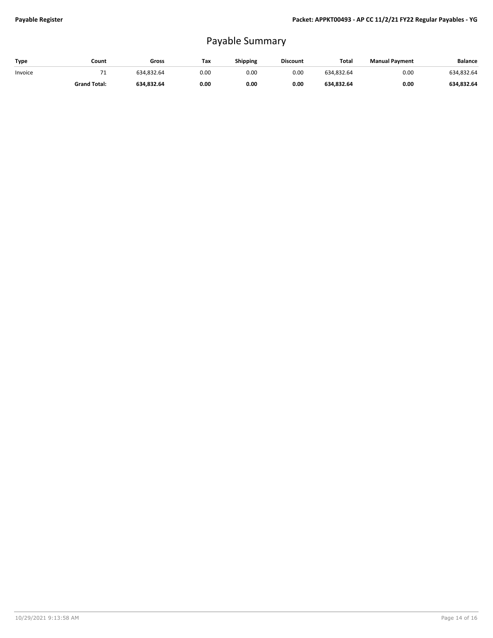## Payable Summary

| Type    | Count               | Gross      | Tax  | Shipping | <b>Discount</b> | Total      | <b>Manual Payment</b> | <b>Balance</b> |
|---------|---------------------|------------|------|----------|-----------------|------------|-----------------------|----------------|
| Invoice | . .                 | 634.832.64 | 0.00 | 0.00     | 0.00            | 634.832.64 | 0.00                  | 634,832.64     |
|         | <b>Grand Total:</b> | 634.832.64 | 0.00 | 0.00     | 0.00            | 634,832.64 | 0.00                  | 634,832.64     |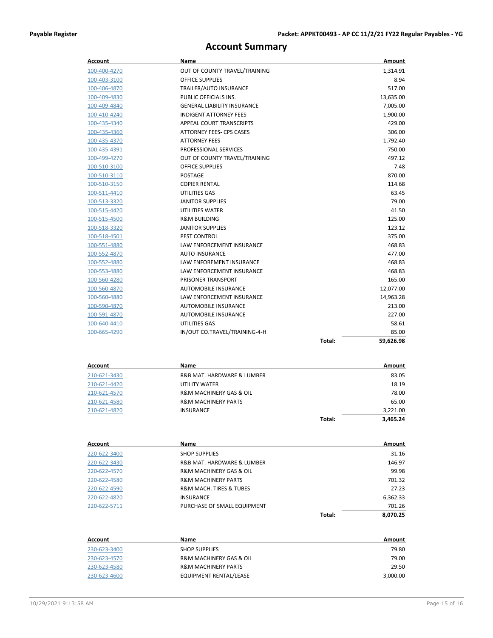## **Account Summary**

| Account             | Name                                   |        | Amount    |
|---------------------|----------------------------------------|--------|-----------|
| 100-400-4270        | OUT OF COUNTY TRAVEL/TRAINING          |        | 1,314.91  |
| 100-403-3100        | <b>OFFICE SUPPLIES</b>                 |        | 8.94      |
| 100-406-4870        | TRAILER/AUTO INSURANCE                 |        | 517.00    |
| 100-409-4830        | PUBLIC OFFICIALS INS.                  |        | 13,635.00 |
| 100-409-4840        | <b>GENERAL LIABILITY INSURANCE</b>     |        | 7,005.00  |
| 100-410-4240        | <b>INDIGENT ATTORNEY FEES</b>          |        | 1,900.00  |
| 100-435-4340        | APPEAL COURT TRANSCRIPTS               |        | 429.00    |
| 100-435-4360        | ATTORNEY FEES- CPS CASES               |        | 306.00    |
| 100-435-4370        | <b>ATTORNEY FEES</b>                   |        | 1,792.40  |
| 100-435-4391        | PROFESSIONAL SERVICES                  |        | 750.00    |
| 100-499-4270        | OUT OF COUNTY TRAVEL/TRAINING          |        | 497.12    |
| 100-510-3100        | <b>OFFICE SUPPLIES</b>                 |        | 7.48      |
| 100-510-3110        | POSTAGE                                |        | 870.00    |
| 100-510-3150        | <b>COPIER RENTAL</b>                   |        | 114.68    |
| 100-511-4410        | UTILITIES GAS                          |        | 63.45     |
| 100-513-3320        | <b>JANITOR SUPPLIES</b>                |        | 79.00     |
| 100-515-4420        | UTILITIES WATER                        |        | 41.50     |
| 100-515-4500        | <b>R&amp;M BUILDING</b>                |        | 125.00    |
| 100-518-3320        | <b>JANITOR SUPPLIES</b>                |        | 123.12    |
| <u>100-518-4501</u> | <b>PEST CONTROL</b>                    |        | 375.00    |
| 100-551-4880        | LAW ENFORCEMENT INSURANCE              |        | 468.83    |
| 100-552-4870        | <b>AUTO INSURANCE</b>                  |        | 477.00    |
| 100-552-4880        | <b>LAW ENFOREMENT INSURANCE</b>        |        | 468.83    |
| 100-553-4880        | LAW ENFORCEMENT INSURANCE              |        | 468.83    |
| 100-560-4280        | PRISONER TRANSPORT                     |        | 165.00    |
| 100-560-4870        | <b>AUTOMOBILE INSURANCE</b>            |        | 12,077.00 |
| 100-560-4880        | LAW ENFORCEMENT INSURANCE              |        | 14,963.28 |
| 100-590-4870        | <b>AUTOMOBILE INSURANCE</b>            |        | 213.00    |
| 100-591-4870        | <b>AUTOMOBILE INSURANCE</b>            |        | 227.00    |
| 100-640-4410        | UTILITIES GAS                          |        | 58.61     |
| 100-665-4290        | IN/OUT CO.TRAVEL/TRAINING-4-H          |        | 85.00     |
|                     |                                        | Total: | 59,626.98 |
|                     |                                        |        |           |
| Account             | Name                                   |        | Amount    |
| 210-621-3430        | R&B MAT. HARDWARE & LUMBER             |        | 83.05     |
| 210-621-4420        | UTILITY WATER                          |        | 18.19     |
| 210-621-4570        | R&M MACHINERY GAS & OIL                |        | 78.00     |
| <u>210-621-4580</u> | <b>R&amp;M MACHINERY PARTS</b>         |        | 65.00     |
| 210-621-4820        | <b>INSURANCE</b>                       |        | 3,221.00  |
|                     |                                        | Total: | 3,465.24  |
|                     |                                        |        |           |
| Account             | Name                                   |        | Amount    |
| 220-622-3400        | <b>SHOP SUPPLIES</b>                   |        | 31.16     |
| 220-622-3430        | R&B MAT. HARDWARE & LUMBER             |        | 146.97    |
| 220-622-4570        | R&M MACHINERY GAS & OIL                |        | 99.98     |
| 220-622-4580        | <b>R&amp;M MACHINERY PARTS</b>         |        | 701.32    |
| 220-622-4590        | <b>R&amp;M MACH. TIRES &amp; TUBES</b> |        | 27.23     |
| 220-622-4820        | <b>INSURANCE</b>                       |        | 6,362.33  |
| 220-622-5711        | PURCHASE OF SMALL EQUIPMENT            |        | 701.26    |

| Account      | Name                                   | Amount   |
|--------------|----------------------------------------|----------|
| 230-623-3400 | <b>SHOP SUPPLIES</b>                   | 79.80    |
| 230-623-4570 | <b>R&amp;M MACHINERY GAS &amp; OIL</b> | 79.00    |
| 230-623-4580 | <b>R&amp;M MACHINERY PARTS</b>         | 29.50    |
| 230-623-4600 | EQUIPMENT RENTAL/LEASE                 | 3,000.00 |

**Total: 8,070.25**